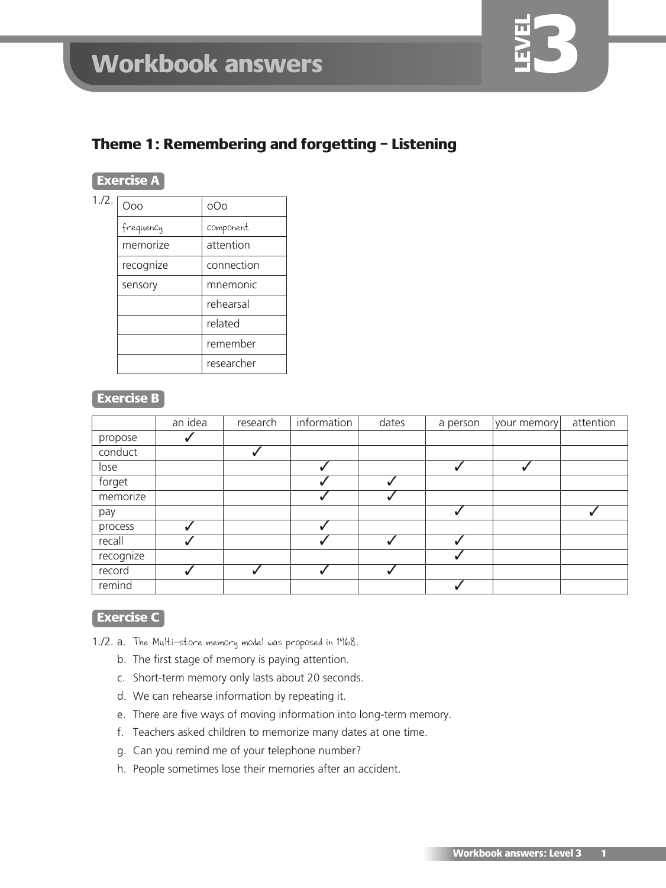# **Theme 1: Remembering and forgetting – Listening**

#### **Exercise A**

| 1.72. | Ooo       | oOo        |
|-------|-----------|------------|
|       | frequency | component  |
|       | memorize  | attention  |
|       | recognize | connection |
|       | sensory   | mnemonic   |
|       |           | rehearsal  |
|       |           | related    |
|       |           | remember   |
|       |           | researcher |
|       |           |            |

#### **Exercise B**

|           | an idea | research | information | dates | a person | your memory | attention |
|-----------|---------|----------|-------------|-------|----------|-------------|-----------|
| propose   |         |          |             |       |          |             |           |
| conduct   |         |          |             |       |          |             |           |
| lose      |         |          |             |       |          |             |           |
| forget    |         |          |             |       |          |             |           |
| memorize  |         |          |             |       |          |             |           |
| pay       |         |          |             |       |          |             |           |
| process   |         |          |             |       |          |             |           |
| recall    |         |          |             |       |          |             |           |
| recognize |         |          |             |       |          |             |           |
| record    |         |          |             |       |          |             |           |
| remind    |         |          |             |       |          |             |           |

# **Exercise C**

- 1./2. a. The Multi-store memory model was proposed in 1968.
	- b. The first stage of memory is paying attention.
	- c. Short-term memory only lasts about 20 seconds.
	- d. We can rehearse information by repeating it.
	- e. There are five ways of moving information into long-term memory.
	- f. Teachers asked children to memorize many dates at one time.
	- g. Can you remind me of your telephone number?
	- h. People sometimes lose their memories after an accident.

**3**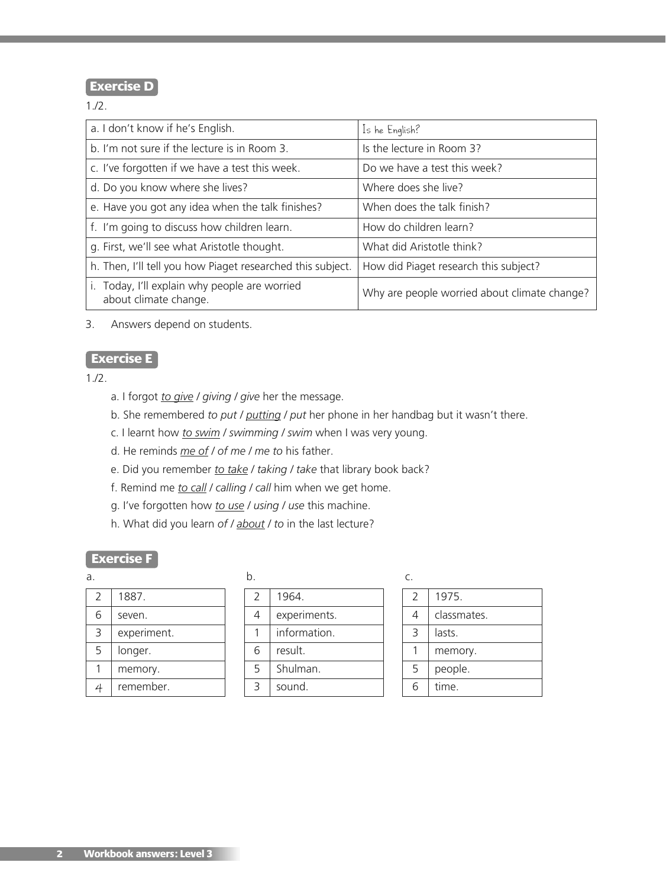# **Exercise D**

1./2.

| a. I don't know if he's English.                                    | Is he English?                               |
|---------------------------------------------------------------------|----------------------------------------------|
| b. I'm not sure if the lecture is in Room 3.                        | Is the lecture in Room 3?                    |
| c. I've forgotten if we have a test this week.                      | Do we have a test this week?                 |
| d. Do you know where she lives?                                     | Where does she live?                         |
| e. Have you got any idea when the talk finishes?                    | When does the talk finish?                   |
| f. I'm going to discuss how children learn.                         | How do children learn?                       |
| g. First, we'll see what Aristotle thought.                         | What did Aristotle think?                    |
| h. Then, I'll tell you how Piaget researched this subject.          | How did Piaget research this subject?        |
| Today, I'll explain why people are worried<br>about climate change. | Why are people worried about climate change? |

3. Answers depend on students.

# **Exercise E**

1./2.

- a. I forgot *to give / giving / give* her the message.
- b. She remembered *to put / putting / put* her phone in her handbag but it wasn't there.
- c. I learnt how *to swim / swimming / swim* when I was very young.
- d. He reminds *me of / of me / me to* his father.
- e. Did you remember *to take / taking / take* that library book back?
- f. Remind me *to call / calling / call* him when we get home.
- g. I've forgotten how *to use / using / use* this machine.
- h. What did you learn *of / about / to* in the last lecture?

#### **Exercise F**

| $\mathcal{L}$ | 1887.       |
|---------------|-------------|
| 6             | seven.      |
| 3             | experiment. |
| 5             | longer.     |
|               | memory.     |
|               | remember.   |

| a. |             |               |              | ⊂ |
|----|-------------|---------------|--------------|---|
|    | 1887.       | $\mathcal{L}$ | 1964.        |   |
| 6  | seven.      | 4             | experiments. |   |
| 3  | experiment. |               | information. |   |
| 5  | longer.     | 6             | result.      |   |
|    | memory.     | 5             | Shulman.     |   |
|    | remember.   |               | sound.       |   |

| . .<br>٧<br>×<br>$\sim$ |  |  |
|-------------------------|--|--|
|                         |  |  |

| $\mathcal{P}$ | 1975.       |
|---------------|-------------|
| 4             | classmates. |
| ₹             | lasts.      |
|               | memory.     |
| 5             | people.     |
| ĥ             | time.       |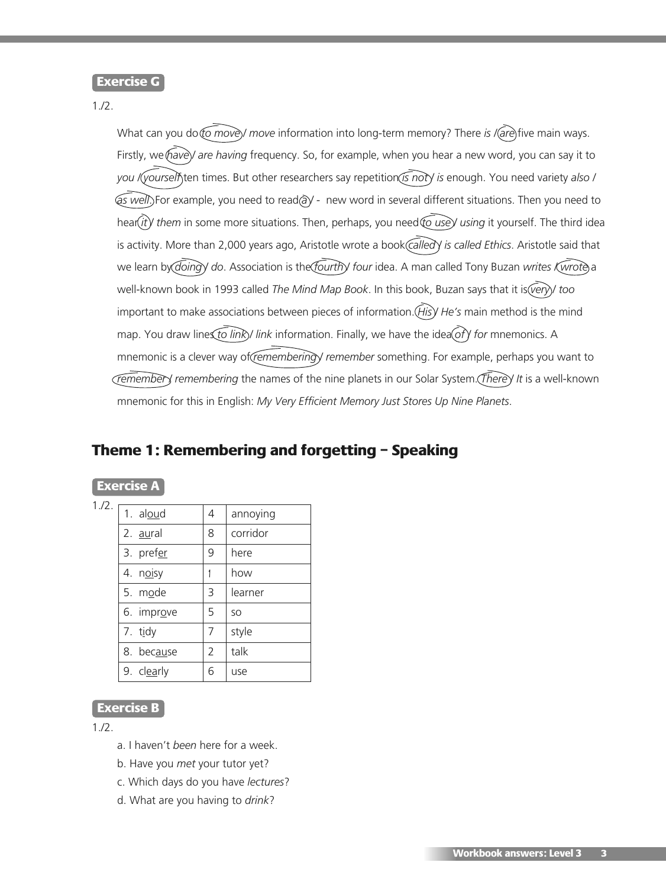#### **Exercise G**

#### 1./2.

What can you do *(to move)/ move* information into long-term memory? There *is / (are*) five main ways. Firstly, we have) are having frequency. So, for example, when you hear a new word, you can say it to *you / yourself* ten times. But other researchers say repetition *is not / is* enough. You need variety *also /*  $\sqrt{a}$ *s well*. For example, you need to read $\sqrt{a}$  - new word in several different situations. Then you need to hear(*it*) them in some more situations. Then, perhaps, you need to use) using it yourself. The third idea is activity. More than 2,000 years ago, Aristotle wrote a book *called / is called Ethics*. Aristotle said that we learn by *doing* / do. Association is the *fourth* / four idea. A man called Tony Buzan *writes* (wrote) a well-known book in 1993 called *The Mind Map Book*. In this book, Buzan says that it is *(very)* too important to make associations between pieces of information. *His He's* main method is the mind map. You draw lines *to link*)/ link information. Finally, we have the idea (of *Y* for mnemonics. A mnemonic is a clever way of *(remembering)* remember something. For example, perhaps you want to *remember / remembering* the names of the nine planets in our Solar System. *There / It* is a well-known mnemonic for this in English: *My Very Efficient Memory Just Stores Up Nine Planets*.

# **Theme 1: Remembering and forgetting – Speaking**

#### **Exercise A**

1./2.

| 1. aloud         | 4              | annoying  |
|------------------|----------------|-----------|
| 2. <u>au</u> ral | 8              | corridor  |
| 3. prefer        | 9              | here      |
| 4. noisy         |                | how       |
| 5. mode          | 3              | learner   |
| 6. improve       | 5              | <b>SO</b> |
| 7. tidy          | 7              | style     |
| 8. because       | $\overline{2}$ | talk      |
| 9. clearly       | 6              | use       |

#### **Exercise B**

1./2.

- a. I haven't *been* here for a week.
- b. Have you *met* your tutor yet?
- c. Which days do you have *lectures*?
- d. What are you having to *drink*?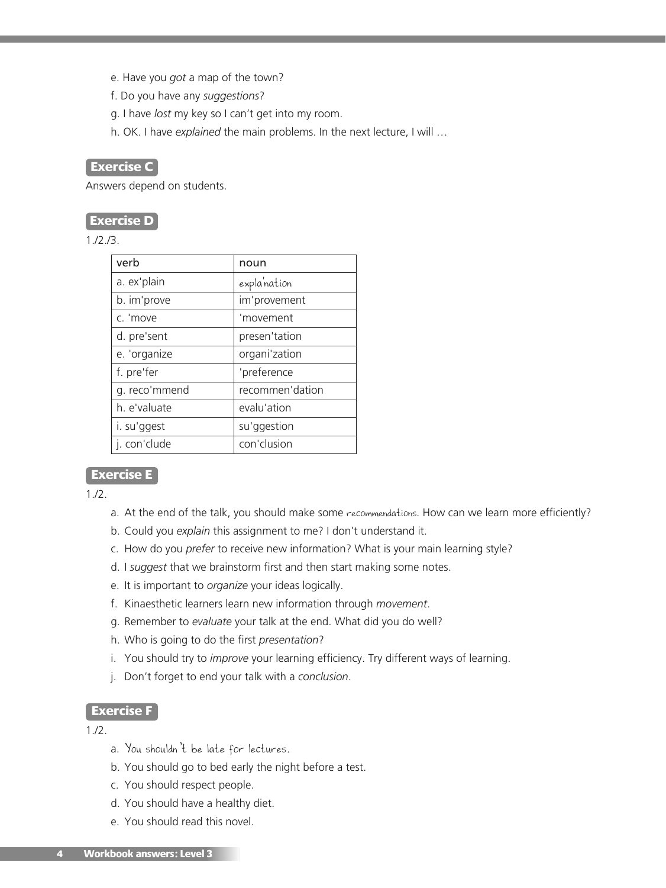- e. Have you *got* a map of the town?
- f. Do you have any *suggestions*?
- g. I have *lost* my key so I can't get into my room.
- h. OK. I have *explained* the main problems. In the next lecture, I will …

#### **Exercise C**

Answers depend on students.

#### **Exercise D**

1./2./3.

| verb          | noun            |
|---------------|-----------------|
| a. ex'plain   | explanation     |
| b. im'prove   | im'provement    |
| c. 'move      | 'movement       |
| d. pre'sent   | presen'tation   |
| e. 'organize  | organi'zation   |
| f. pre'fer    | 'preference     |
| g. reco'mmend | recommen'dation |
| h. e'valuate  | evalu'ation     |
| i. su'ggest   | su'ggestion     |
| j. con'clude  | con'clusion     |

#### **Exercise E**

1./2.

- a. At the end of the talk, you should make some recommendations. How can we learn more efficiently?
- b. Could you *explain* this assignment to me? I don't understand it.
- c. How do you *prefer* to receive new information? What is your main learning style?
- d. I *suggest* that we brainstorm first and then start making some notes.
- e. It is important to *organize* your ideas logically.
- f. Kinaesthetic learners learn new information through *movement*.
- g. Remember to *evaluate* your talk at the end. What did you do well?
- h. Who is going to do the first *presentation*?
- i. You should try to *improve* your learning efficiency. Try different ways of learning.
- j. Don't forget to end your talk with a *conclusion*.

#### **Exercise F**

1./2.

- a. You shouldn't be late for lectures.
- b. You should go to bed early the night before a test.
- c. You should respect people.
- d. You should have a healthy diet.
- e. You should read this novel.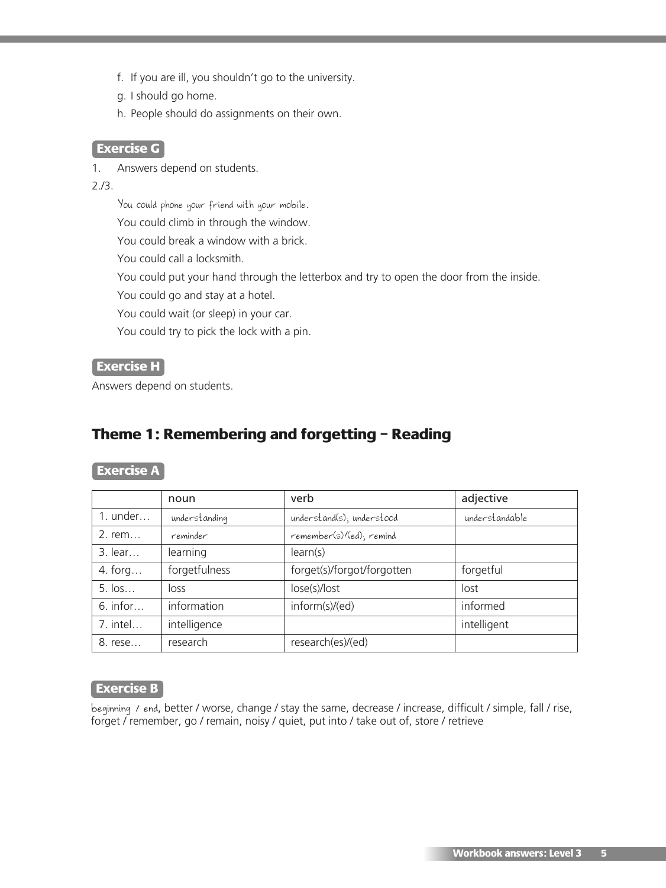- f. If you are ill, you shouldn't go to the university.
- g. I should go home.
- h. People should do assignments on their own.

#### **Exercise G**

1. Answers depend on students.

#### 2./3.

You could phone your friend with your mobile.

You could climb in through the window.

You could break a window with a brick.

You could call a locksmith.

You could put your hand through the letterbox and try to open the door from the inside.

You could go and stay at a hotel.

You could wait (or sleep) in your car.

You could try to pick the lock with a pin.

#### **Exercise H**

Answers depend on students.

# **Theme 1: Remembering and forgetting – Reading**

#### **Exercise A**

|            | noun          | verb                       | adjective      |
|------------|---------------|----------------------------|----------------|
| $1.$ under | understanding | understand(s); understood  | understandable |
| $2.$ rem   | reminder      | remember(s)/(ed); remind   |                |
| $3.$ lear  | learning      | learn(s)                   |                |
| 4. forg    | forgetfulness | forget(s)/forgot/forgotten | forgetful      |
| 5. los     | loss          | lose(s)/lost               | lost           |
| $6.$ infor | information   | inform(s)/(ed)             | informed       |
| 7. intel   | intelligence  |                            | intelligent    |
| 8. rese    | research      | research(es)/(ed)          |                |

#### **Exercise B**

beginning / end, better / worse, change / stay the same, decrease / increase, difficult / simple, fall / rise, forget / remember, go / remain, noisy / quiet, put into / take out of, store / retrieve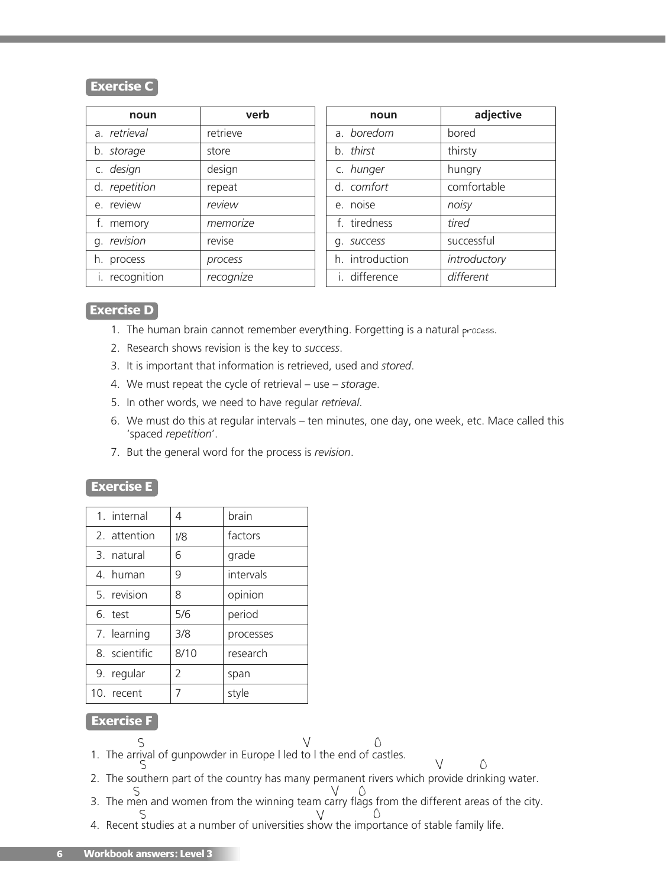#### **Exercise**

| noun           | verb      | nour          |
|----------------|-----------|---------------|
| a. retrieval   | retrieve  | a. boredom    |
| b. storage     | store     | b. thirst     |
| c. design      | design    | c. hunger     |
| d. repetition  | repeat    | d. comfort    |
| e. review      | review    | e. noise      |
| f. memory      | memorize  | f. tiredness  |
| g. revision    | revise    | q. success    |
| h. process     | process   | h. introducti |
| i. recognition | recognize | i. difference |

| noun            | adjective    |
|-----------------|--------------|
| a boredom       | bored        |
| b. thirst       | thirsty      |
| c. hunger       | hungry       |
| d. comfort      | comfortable  |
| e. noise        | noisy        |
| f tiredness     | tired        |
| g. success      | successful   |
| h. introduction | introductory |
| i difference    | different    |

#### **Exercise D**

- 1. The human brain cannot remember everything. Forgetting is a natural process.
- 2. Research shows revision is the key to *success*.
- 3. It is important that information is retrieved, used and *stored*.
- 4. We must repeat the cycle of retrieval use *storage*.
- 5. In other words, we need to have regular *retrieval*.
- 6. We must do this at regular intervals ten minutes, one day, one week, etc. Mace called this 'spaced *repetition*'.
- 7. But the general word for the process is *revision*.

#### **Exercise E**

| 1. internal   | 4    | brain     |
|---------------|------|-----------|
| 2. attention  | 1/8  | factors   |
| 3. natural    | 6    | grade     |
| 4. human      | 9    | intervals |
| 5. revision   | 8    | opinion   |
| 6. test       | 5/6  | period    |
| 7. learning   | 3/8  | processes |
| 8. scientific | 8/10 | research  |
| 9. regular    | 2    | span      |
| 10. recent    | 7    | style     |

#### **Exercise F**

- 1. The arrival of gunpowder in Europe I led to I the end of castles.  $S$  V  $\qquad \qquad \circ$
- $\circlearrowright$

 $\vee$ 

- 2. The southern part of the country has many permanent rivers which provide drinking water. S
- 3. The men and women from the winning team carry flags from the different areas of the city. S V O
- 4. Recent studies at a number of universities show the importance of stable family life.  $S_{\alpha}$  by  $S_{\alpha}$  of  $S_{\alpha}$  or  $S_{\alpha}$   $\mathcal{N}_{\alpha}$  or  $\mathcal{N}_{\alpha}$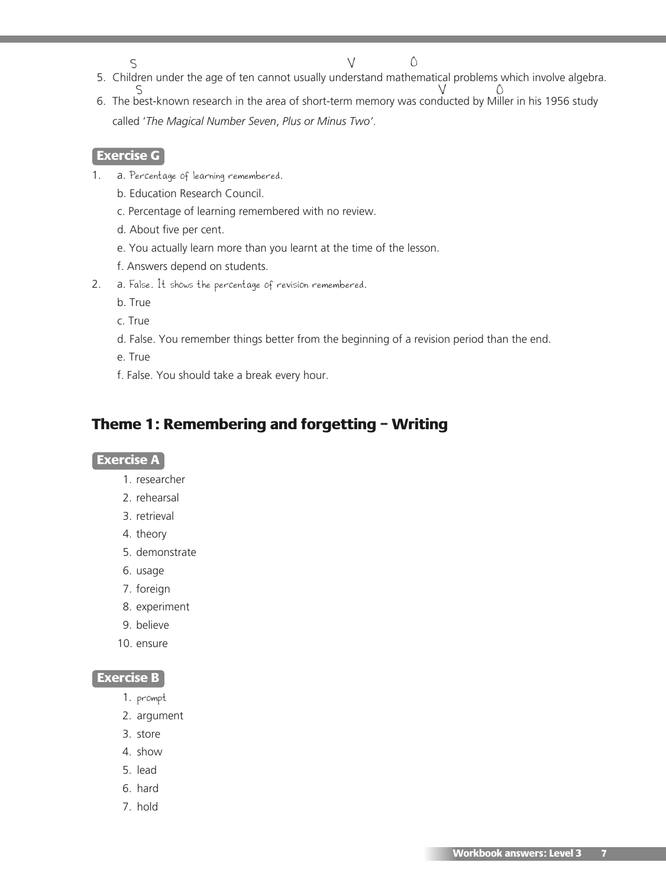5. Children under the age of ten cannot usually understand mathematical problems which involve algebra. S  $\vee$ 

 $\bigcirc$ 

6. The best-known research in the area of short-term memory was conducted by Miller in his 1956 study called '*The Magical Number Seven*, *Plus or Minus Two'*. S V O

#### **Exercise G**

- 1. a. Percentage of learning remembered.
	- b. Education Research Council.
	- c. Percentage of learning remembered with no review.
	- d. About five per cent.
	- e. You actually learn more than you learnt at the time of the lesson.
	- f. Answers depend on students.
- 2. a. False. It shows the percentage of revision remembered.
	- b. True
	- c. True
	- d. False. You remember things better from the beginning of a revision period than the end.
	- e. True
	- f. False. You should take a break every hour.

# **Theme 1: Remembering and forgetting – Writing**

#### **Exercise A**

- 1. researcher
- 2. rehearsal
- 3. retrieval
- 4. theory
- 5. demonstrate
- 6. usage
- 7. foreign
- 8. experiment
- 9. believe
- 10. ensure

#### **Exercise B**

- 1. prompt
- 2. argument
- 3. store
- 4. show
- 5. lead
- 6. hard
- 7. hold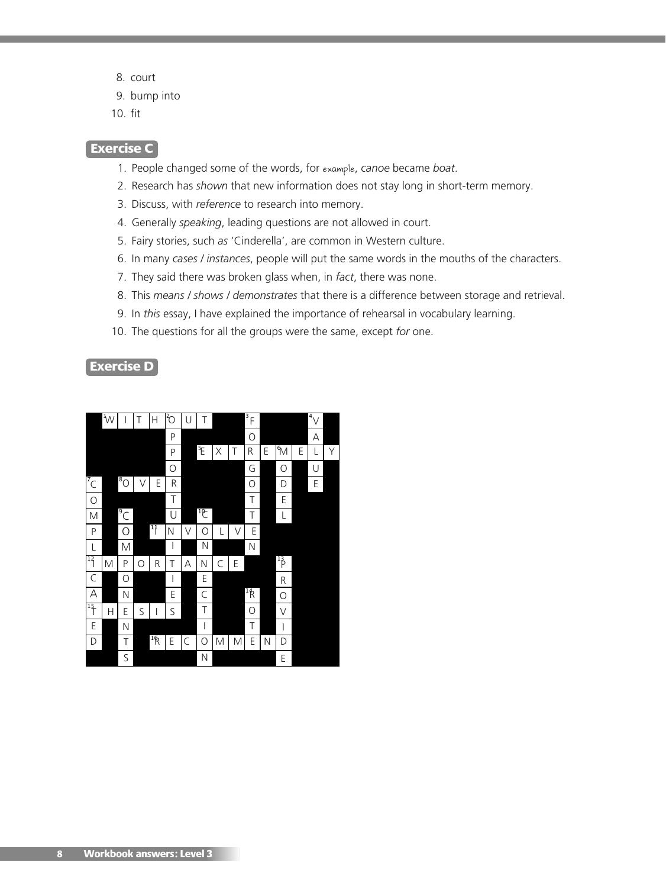- 8. court
- 9. bump into
- 10. fit

#### **Exercise C**

- 1. People changed some of the words, for example, *canoe* became *boat*.
- 2. Research has *shown* that new information does not stay long in short-term memory.
- 3. Discuss, with *reference* to research into memory.
- 4. Generally *speaking*, leading questions are not allowed in court.
- 5. Fairy stories, such *as* 'Cinderella', are common in Western culture.
- 6. In many *cases / instances*, people will put the same words in the mouths of the characters.
- 7. They said there was broken glass when, in *fact*, there was none.
- 8. This *means / shows / demonstrates* that there is a difference between storage and retrieval.
- 9. In *this* essay, I have explained the importance of rehearsal in vocabulary learning.
- 10. The questions for all the groups were the same, except *for* one.

**Exercise D**

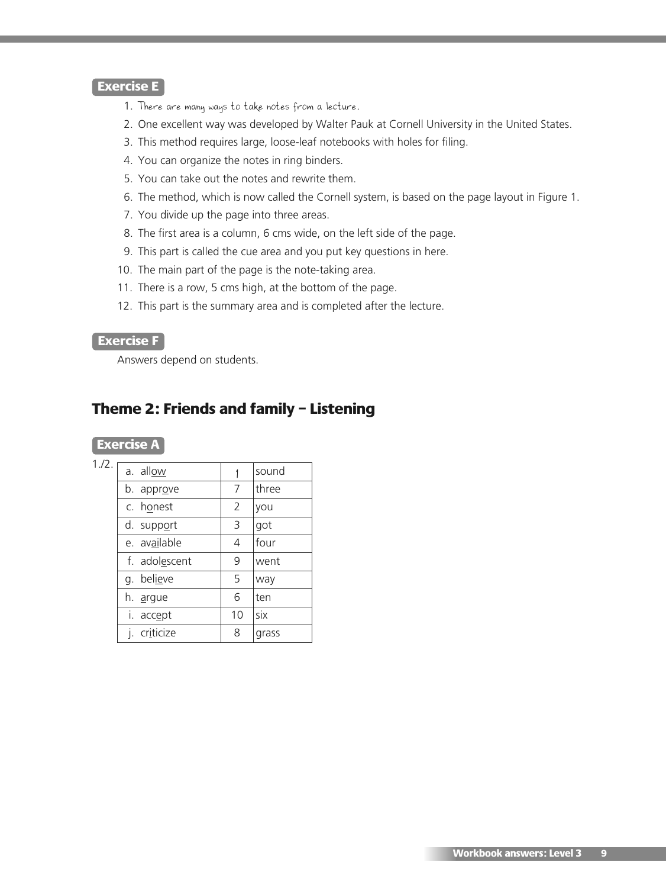#### **Exercise E**

- 1. There are many ways to take notes from a lecture.
- 2. One excellent way was developed by Walter Pauk at Cornell University in the United States.
- 3. This method requires large, loose-leaf notebooks with holes for filing.
- 4. You can organize the notes in ring binders.
- 5. You can take out the notes and rewrite them.
- 6. The method, which is now called the Cornell system, is based on the page layout in Figure 1.
- 7. You divide up the page into three areas.
- 8. The first area is a column, 6 cms wide, on the left side of the page.
- 9. This part is called the cue area and you put key questions in here.
- 10. The main part of the page is the note-taking area.
- 11. There is a row, 5 cms high, at the bottom of the page.
- 12. This part is the summary area and is completed after the lecture.

#### **Exercise F**

Answers depend on students.

# **Theme 2: Friends and family – Listening**

| n |  |
|---|--|
|   |  |

| 1./2.1 | a. allow            |    | sound |
|--------|---------------------|----|-------|
|        | b. appr <u>o</u> ve | 7  | three |
|        | c. honest           | 2  | you   |
|        | d. support          | 3  | got   |
|        | e. available        | 4  | four  |
|        | f. adolescent       | 9  | went  |
|        | believe<br>q.       | 5  | way   |
|        | h. <u>a</u> rgue    | 6  | ten   |
|        | i. accept           | 10 | six   |
|        | criticize           | 8  | grass |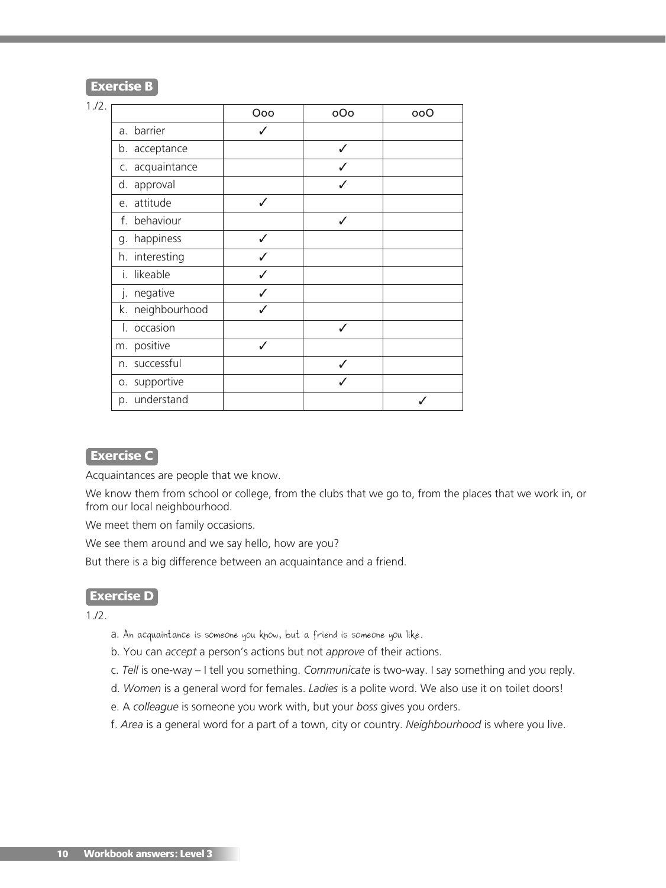#### **Exercise B**

#### 1./2.

|                  | Ooo | oOo | ooO |
|------------------|-----|-----|-----|
| a. barrier       |     |     |     |
| b. acceptance    |     | ℐ   |     |
| c. acquaintance  |     |     |     |
| d. approval      |     |     |     |
| e. attitude      | ✓   |     |     |
| f. behaviour     |     | ✓   |     |
| g. happiness     | J   |     |     |
| h. interesting   |     |     |     |
| likeable<br>İ.   |     |     |     |
| negative<br>j.   |     |     |     |
| k. neighbourhood |     |     |     |
| l. occasion      |     |     |     |
| m. positive      |     |     |     |
| n. successful    |     |     |     |
| o. supportive    |     |     |     |
| p. understand    |     |     |     |

### **Exercise C**

Acquaintances are people that we know.

We know them from school or college, from the clubs that we go to, from the places that we work in, or from our local neighbourhood.

We meet them on family occasions.

We see them around and we say hello, how are you?

But there is a big difference between an acquaintance and a friend.

#### **Exercise D**

 $1.72.$ 

- a. An acquaintance is someone you know, but a friend is someone you like.
- b. You can *accept* a person's actions but not *approve* of their actions.
- c. *Tell* is one-way I tell you something. *Communicate* is two-way. I say something and you reply.
- d. *Women* is a general word for females. *Ladies* is a polite word. We also use it on toilet doors!
- e. A *colleague* is someone you work with, but your *boss* gives you orders.
- f. *Area* is a general word for a part of a town, city or country. *Neighbourhood* is where you live.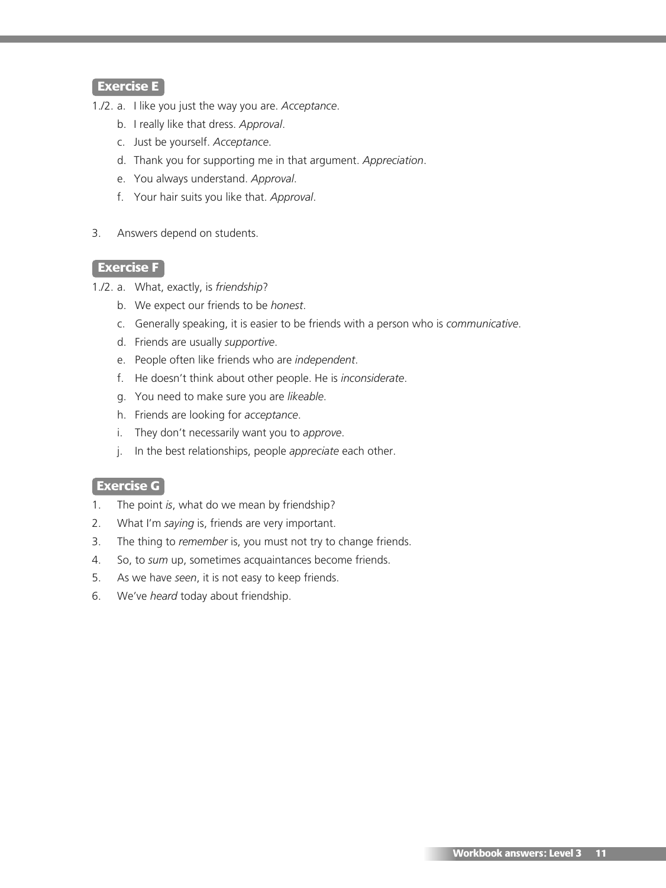#### **Exercise E**

- 1./2. a. I like you just the way you are. *Acceptance*.
	- b. I really like that dress. *Approval*.
	- c. Just be yourself. *Acceptance*.
	- d. Thank you for supporting me in that argument. *Appreciation*.
	- e. You always understand. *Approval*.
	- f. Your hair suits you like that. *Approval*.
- 3. Answers depend on students.

#### **Exercise F**

- 1./2. a. What, exactly, is *friendship*?
	- b. We expect our friends to be *honest*.
	- c. Generally speaking, it is easier to be friends with a person who is *communicative*.
	- d. Friends are usually *supportive*.
	- e. People often like friends who are *independent*.
	- f. He doesn't think about other people. He is *inconsiderate*.
	- g. You need to make sure you are *likeable*.
	- h. Friends are looking for *acceptance*.
	- i. They don't necessarily want you to *approve*.
	- j. In the best relationships, people *appreciate* each other.

#### **Exercise G**

- 1. The point *is*, what do we mean by friendship?
- 2. What I'm *saying* is, friends are very important.
- 3. The thing to *remember* is, you must not try to change friends.
- 4. So, to *sum* up, sometimes acquaintances become friends.
- 5. As we have *seen*, it is not easy to keep friends.
- 6. We've *heard* today about friendship.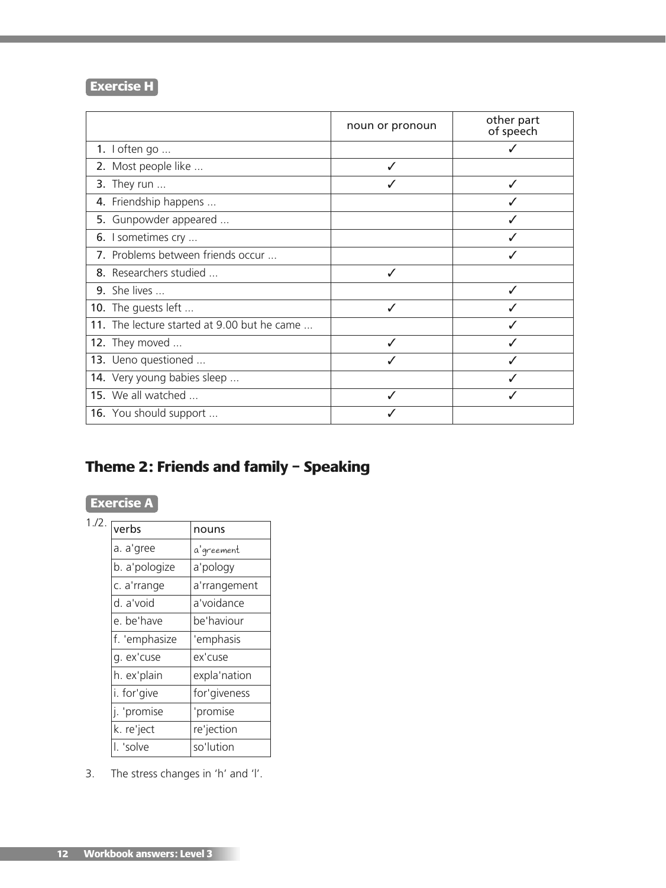# **Exercise H**

|                                             | noun or pronoun | other part<br>of speech |
|---------------------------------------------|-----------------|-------------------------|
| 1. $I$ often go                             |                 |                         |
| 2. Most people like                         |                 |                         |
| 3. They run $\ldots$                        |                 |                         |
| 4. Friendship happens                       |                 |                         |
| 5. Gunpowder appeared                       |                 |                         |
| 6. I sometimes cry                          |                 |                         |
| 7. Problems between friends occur           |                 |                         |
| 8. Researchers studied                      | ✓               |                         |
| 9. She lives                                |                 |                         |
| 10. The guests left                         | J               |                         |
| 11. The lecture started at 9.00 but he came |                 |                         |
| 12. They moved                              |                 |                         |
| 13. Ueno questioned                         |                 |                         |
| 14. Very young babies sleep                 |                 |                         |
| 15. We all watched                          | ✓               |                         |
| 16. You should support                      |                 |                         |

# **Theme 2: Friends and family – Speaking**

# **Exercise A**

| 1.72. | verbs         | nouns        |  |  |
|-------|---------------|--------------|--|--|
|       | a. a'gree     | a'greement   |  |  |
|       | b. a'pologize | a'pology     |  |  |
|       | c. a'rrange   | a'rrangement |  |  |
|       | d. a'void     | a'voidance   |  |  |
|       | e. be'have    | be'haviour   |  |  |
|       | f. 'emphasize | 'emphasis    |  |  |
|       | g. ex'cuse    | ex'cuse      |  |  |
|       | h. ex'plain   | expla'nation |  |  |
|       | i. for'give   | for'giveness |  |  |
|       | j. 'promise   | 'promise     |  |  |
|       | k. re'ject    | re'jection   |  |  |
|       | l. 'solve     | so'lution    |  |  |

3. The stress changes in 'h' and 'l'.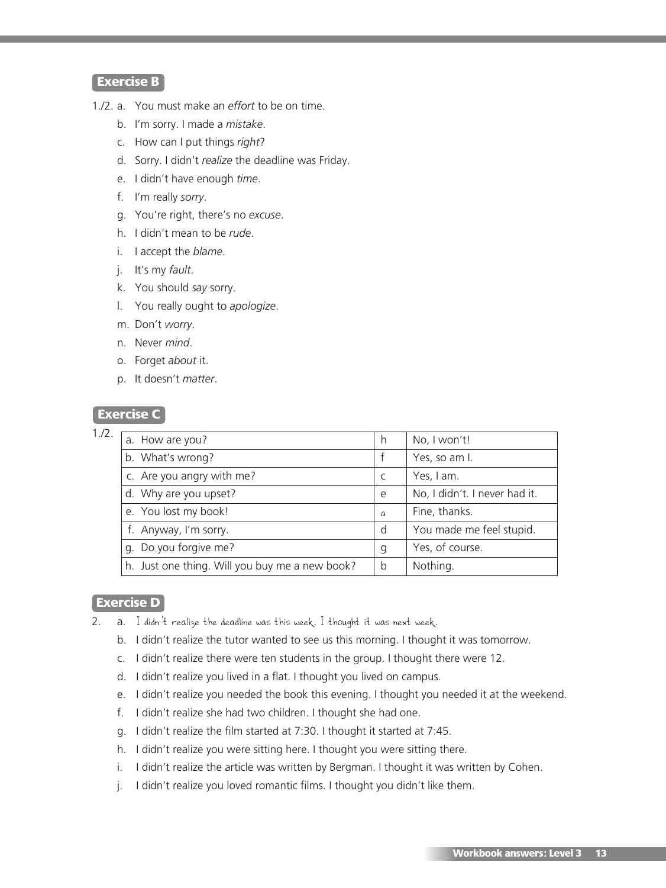## **Exercise B**

- 1./2. a. You must make an *effort* to be on time.
	- b. I'm sorry. I made a *mistake*.
	- c. How can I put things *right*?
	- d. Sorry. I didn't *realize* the deadline was Friday.
	- e. I didn't have enough *time*.
	- f. I'm really *sorry*.
	- g. You're right, there's no *excuse*.
	- h. I didn't mean to be *rude*.
	- i. I accept the *blame*.
	- j. It's my *fault*.
	- k. You should *say* sorry.
	- l. You really ought to *apologize*.
	- m. Don't *worry*.
	- n. Never *mind*.
	- o. Forget *about* it.
	- p. It doesn't *matter*.

#### **Exercise C**

| 1./2. |                                                |          |                               |
|-------|------------------------------------------------|----------|-------------------------------|
|       | a. How are you?                                | h        | No, I won't!                  |
|       | b. What's wrong?                               |          | Yes, so am I.                 |
|       | c. Are you angry with me?                      | C        | Yes, I am.                    |
|       | d. Why are you upset?                          | e        | No, I didn't. I never had it. |
|       | e. You lost my book!                           | $\alpha$ | Fine, thanks.                 |
|       | f. Anyway, I'm sorry.                          | d        | You made me feel stupid.      |
|       | g. Do you forgive me?                          | g        | Yes, of course.               |
|       | h. Just one thing. Will you buy me a new book? | b        | Nothing.                      |
|       |                                                |          |                               |

#### **Exercise D**

- 2. a. I didn't realize the deadline was this week. I thought it was next week.
	- b. I didn't realize the tutor wanted to see us this morning. I thought it was tomorrow.
	- c. I didn't realize there were ten students in the group. I thought there were 12.
	- d. I didn't realize you lived in a flat. I thought you lived on campus.
	- e. I didn't realize you needed the book this evening. I thought you needed it at the weekend.
	- f. I didn't realize she had two children. I thought she had one.
	- g. I didn't realize the film started at 7:30. I thought it started at 7:45.
	- h. I didn't realize you were sitting here. I thought you were sitting there.
	- i. I didn't realize the article was written by Bergman. I thought it was written by Cohen.
	- j. I didn't realize you loved romantic films. I thought you didn't like them.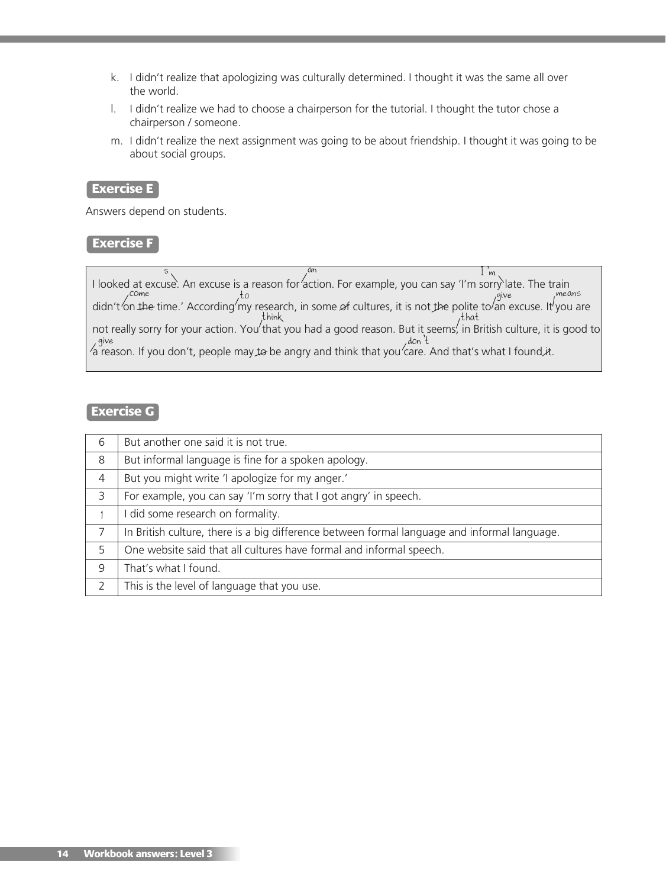- k. I didn't realize that apologizing was culturally determined. I thought it was the same all over the world.
- l. I didn't realize we had to choose a chairperson for the tutorial. I thought the tutor chose a chairperson / someone.
- m. I didn't realize the next assignment was going to be about friendship. I thought it was going to be about social groups.

#### **Exercise E**

Answers depend on students.

#### **Exercise F**

I looked at excuse`. An excuse is a reason for 'action. For example, you can say 'I'm sorry`late. The train ' didn't 'on the time.' According' my research, in some of cultures, it is not the polite to 'an excuse. It' you are not really sorry for your action. You'that you had a good reason. But it seems', in British culture, it is good to a reason. If you don't, people may to be angry and think that you'care. And that's what I found it.  $s<sub>l</sub>$  and I'm come to the top to come pairs and the give means think think that give don't

#### **Exercise G**

| 6             | But another one said it is not true.                                                         |
|---------------|----------------------------------------------------------------------------------------------|
| 8             | But informal language is fine for a spoken apology.                                          |
| 4             | But you might write 'I apologize for my anger.'                                              |
| 3             | For example, you can say 'I'm sorry that I got angry' in speech.                             |
|               | I did some research on formality.                                                            |
| 7             | In British culture, there is a big difference between formal language and informal language. |
| 5             | One website said that all cultures have formal and informal speech.                          |
| 9             | That's what I found.                                                                         |
| $\mathcal{L}$ | This is the level of language that you use.                                                  |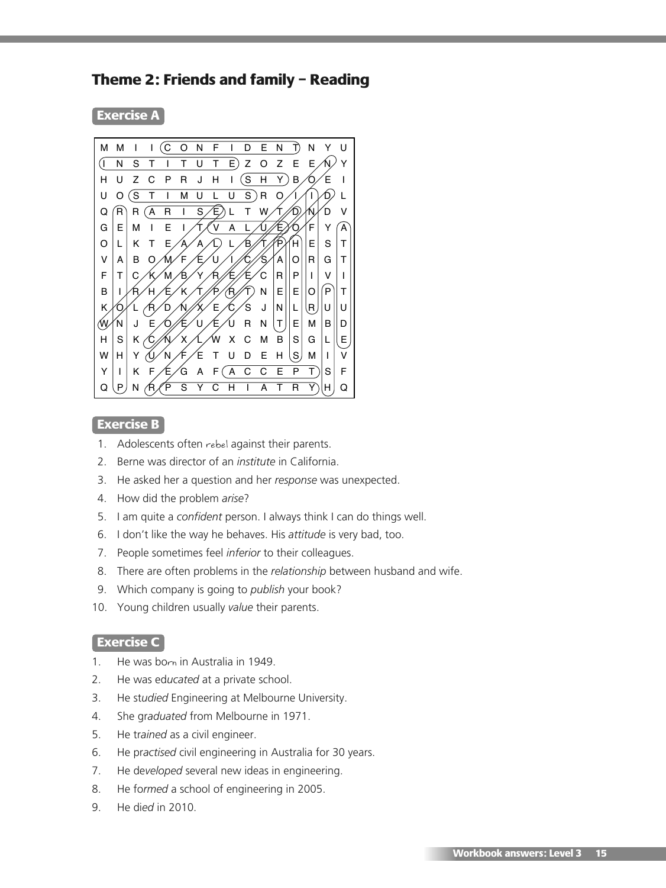# **Theme 2: Friends and family – Reading**

**Exercise A**



#### **Exercise B**

- 1. Adolescents often rebel against their parents.
- 2. Berne was director of an *institute* in California.
- 3. He asked her a question and her *response* was unexpected.
- 4. How did the problem *arise*?
- 5. I am quite a *confident* person. I always think I can do things well.
- 6. I don't like the way he behaves. His *attitude* is very bad, too.
- 7. People sometimes feel *inferior* to their colleagues.
- 8. There are often problems in the *relationship* between husband and wife.
- 9. Which company is going to *publish* your book?
- 10. Young children usually *value* their parents.

#### **Exercise C**

- 1. He was born in Australia in 1949.
- 2. He was ed*ucated* at a private school.
- 3. He st*udied* Engineering at Melbourne University.
- 4. She gr*aduated* from Melbourne in 1971.
- 5. He tr*ained* as a civil engineer.
- 6. He pr*actised* civil engineering in Australia for 30 years.
- 7. He de*veloped* several new ideas in engineering.
- 8. He fo*rmed* a school of engineering in 2005.
- 9. He di*ed* in 2010.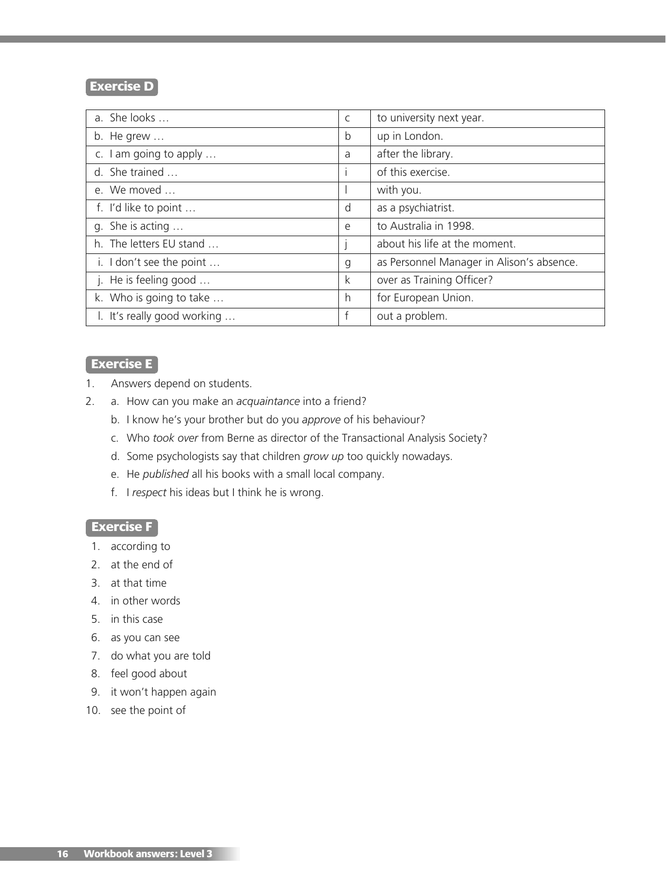### **Exercise D**

| a. She looks                | C            | to university next year.                  |
|-----------------------------|--------------|-------------------------------------------|
| b. He grew $\dots$          | b            | up in London.                             |
| c. I am going to apply      | a            | after the library.                        |
| d. She trained              |              | of this exercise.                         |
| e. We moved                 |              | with you.                                 |
| f. I'd like to point        | d            | as a psychiatrist.                        |
| q. She is acting            | e            | to Australia in 1998.                     |
| h. The letters EU stand     |              | about his life at the moment.             |
| i. I don't see the point    | $\mathsf{g}$ | as Personnel Manager in Alison's absence. |
| j. He is feeling good       | k            | over as Training Officer?                 |
| k. Who is going to take     | h            | for European Union.                       |
| I. It's really good working | f            | out a problem.                            |

## **Exercise E**

- 1. Answers depend on students.
- 2. a. How can you make an *acquaintance* into a friend?
	- b. I know he's your brother but do you *approve* of his behaviour?
	- c. Who *took over* from Berne as director of the Transactional Analysis Society?
	- d. Some psychologists say that children *grow up* too quickly nowadays.
	- e. He *published* all his books with a small local company.
	- f. I *respect* his ideas but I think he is wrong.

#### **Exercise F**

- 1. according to
- 2. at the end of
- 3. at that time
- 4. in other words
- 5. in this case
- 6. as you can see
- 7. do what you are told
- 8. feel good about
- 9. it won't happen again
- 10. see the point of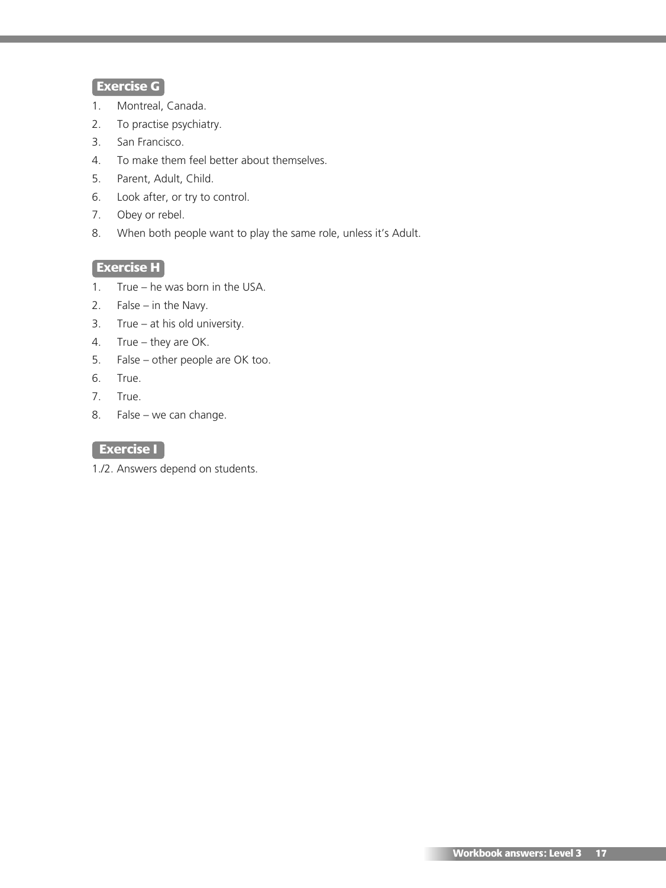# **Exercise G**

- 1. Montreal, Canada.
- 2. To practise psychiatry.
- 3. San Francisco.
- 4. To make them feel better about themselves.
- 5. Parent, Adult, Child.
- 6. Look after, or try to control.
- 7. Obey or rebel.
- 8. When both people want to play the same role, unless it's Adult.

#### **Exercise H**

- 1. True he was born in the USA.
- 2. False in the Navy.
- 3. True at his old university.
- 4. True they are OK.
- 5. False other people are OK too.
- 6. True.
- 7. True.
- 8. False we can change.

# **Exercise I**

1./2. Answers depend on students.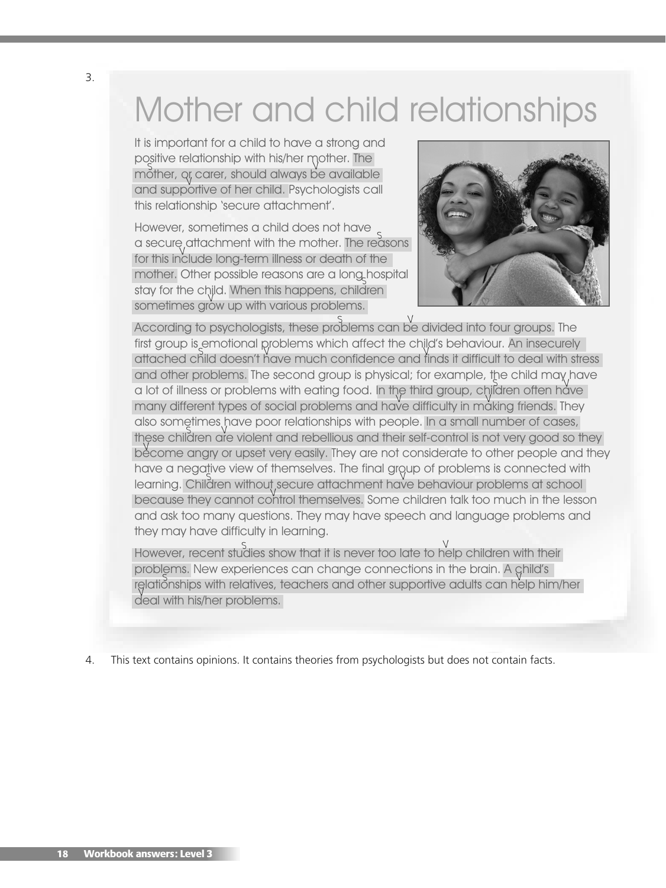# Mother and child relationships

It is important for a child to have a strong and positive relationship with his/her mother. The mother, qr, carer, should always be available and supportive of her child. Psychologists call V this relationship 'secure attachment'.

However, sometimes a child does not have a secure attachment with the mother. The reasons for this include long-term illness or death of the V mother. Other possible reasons are a long hospital S stay for the child. When this happens, children sometimes grow up with various problems.



According to psychologists, these problems can be divided into four groups. The V S first group is emotional problems which affect the child's behaviour. An insecurely attached child doesn't have much confidence and finds it difficult to deal with stress and other problems. The second group is physical; for example, the child may have a lot of illness or problems with eating food. In the third group, children often have many different types of social problems and have difficulty in making friends. They also sometimes have poor relationships with people. In a small number of cases, these children are violent and rebellious and their self-control is not very good so they become angry or upset very easily. They are not considerate to other people and they have a negative view of themselves. The final group of problems is connected with learning. Children without secure attachment have behaviour problems at school because they cannot control themselves. Some children talk too much in the lesson V and ask too many questions. They may have speech and language problems and they may have difficulty in learning.

However, recent studies show that it is never too late to help children with their problems. New experiences can change connections in the brain. A ghild's relationships with relatives, teachers and other supportive adults can help him/her deal with his/her problems.

4. This text contains opinions. It contains theories from psychologists but does not contain facts.

3.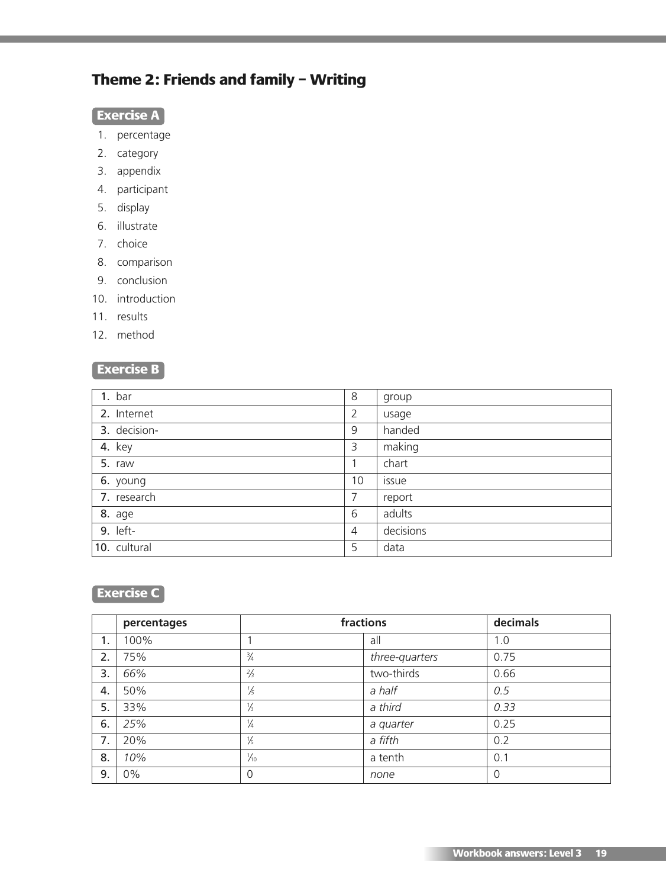# **Theme 2: Friends and family – Writing**

# **Exercise A**

- 1. percentage
- 2. category
- 3. appendix
- 4. participant
- 5. display
- 6. illustrate
- 7. choice
- 8. comparison
- 9. conclusion
- 10. introduction
- 11. results
- 12. method

### **Exercise B**

| $1.$ bar        | 8              | group     |
|-----------------|----------------|-----------|
| 2. Internet     | 2              | usage     |
| 3. decision-    | 9              | handed    |
| <b>4.</b> key   | 3              | making    |
| 5. raw          |                | chart     |
| 6. young        | 10             | issue     |
| 7. research     | 7              | report    |
| <b>8.</b> age   | 6              | adults    |
| <b>9.</b> left- | $\overline{4}$ | decisions |
| 10. cultural    | 5              | data      |

# **Exercise C**

|    | percentages | fractions      |                | decimals |
|----|-------------|----------------|----------------|----------|
| 1. | 100%        |                | all            | 1.0      |
| 2. | 75%         | $\frac{3}{4}$  | three-quarters | 0.75     |
| 3. | 66%         | $\frac{2}{3}$  | two-thirds     | 0.66     |
| 4. | 50%         | $\frac{1}{5}$  | a half         | 0.5      |
| 5. | 33%         | $\frac{1}{3}$  | a third        | 0.33     |
| 6. | 25%         | $\frac{1}{4}$  | a quarter      | 0.25     |
| 7. | 20%         | $\frac{1}{5}$  | a fifth        | 0.2      |
| 8. | 10%         | $\frac{1}{10}$ | a tenth        | 0.1      |
| 9. | $0\%$       | $\Omega$       | none           | 0        |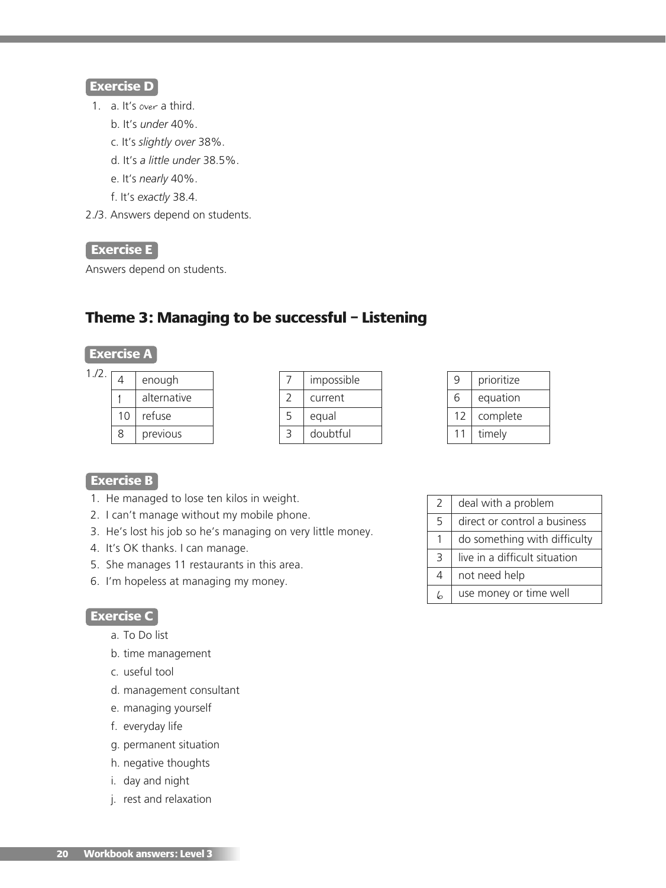#### **Exercise D**

- 1. a. It's over a third.
	- b. It's *under* 40%.
	- c. It's *slightly over* 38%.
	- d. It's *a little under* 38.5%.
	- e. It's *nearly* 40%.
	- f. It's *exactly* 38.4.
- 2./3. Answers depend on students.

#### **Exercise E**

Answers depend on students.

# **Theme 3: Managing to be successful – Listening**

### **Exercise A**

| 1.72. | 4  | enough      |
|-------|----|-------------|
|       |    | alternative |
|       | 10 | refuse      |

8 previous

|   | impossible |  |  |
|---|------------|--|--|
|   | current    |  |  |
| 5 | equal      |  |  |
|   | doubtful   |  |  |

| q              | prioritize |
|----------------|------------|
| 6              | equation   |
| 12             | complete   |
| 1 <sub>1</sub> | timely     |

#### **Exercise B**

- 1. He managed to lose ten kilos in weight.
- 2. I can't manage without my mobile phone.
- 3. He's lost his job so he's managing on very little money.
- 4. It's OK thanks. I can manage.
- 5. She manages 11 restaurants in this area.
- 6. I'm hopeless at managing my money.

#### **Exercise C**

- a. To Do list
- b. time management
- c. useful tool
- d. management consultant
- e. managing yourself
- f. everyday life
- g. permanent situation
- h. negative thoughts
- i. day and night
- j. rest and relaxation

| 2              | deal with a problem           |
|----------------|-------------------------------|
| 5              | direct or control a business  |
|                | do something with difficulty  |
| 3              | live in a difficult situation |
| $\overline{4}$ | not need help                 |
| L              | use money or time well        |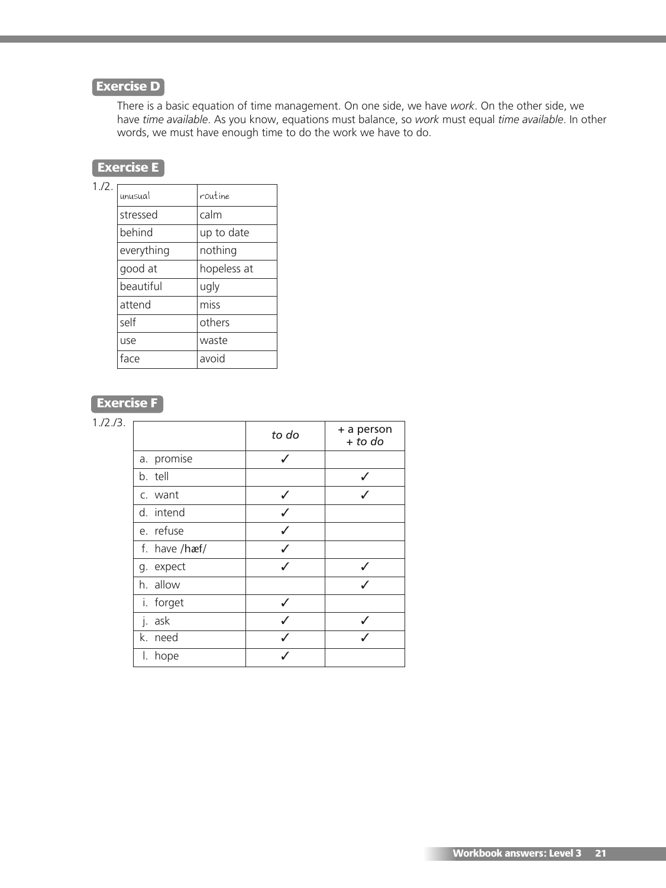# **Exercise D**

There is a basic equation of time management. On one side, we have *work*. On the other side, we have *time available*. As you know, equations must balance, so *work* must equal *time available*. In other words, we must have enough time to do the work we have to do.

# **Exercise E**

 $1.72.1$ 

| unusual    | routine     |
|------------|-------------|
| stressed   | calm        |
| behind     | up to date  |
| everything | nothing     |
| good at    | hopeless at |
| beautiful  | ugly        |
| attend     | miss        |
| self       | others      |
| use        | waste       |
| face       | avoid       |

# **Exercise F**

| 1./2./3. |               |              |                         |
|----------|---------------|--------------|-------------------------|
|          |               | to do        | + a person<br>$+$ to do |
|          | a. promise    | ℐ            |                         |
|          | b. tell       |              | ✓                       |
|          | c. want       |              |                         |
|          | d. intend     | ℐ            |                         |
|          | e. refuse     | ✓            |                         |
|          | f. have /hæf/ |              |                         |
|          | g. expect     | $\checkmark$ | ✓                       |
|          | h. allow      |              | $\overline{J}$          |
|          | i. forget     |              |                         |
|          | j. ask        | ℐ            | ✓                       |
|          | k. need       |              |                         |
|          | I. hope       |              |                         |
|          |               |              |                         |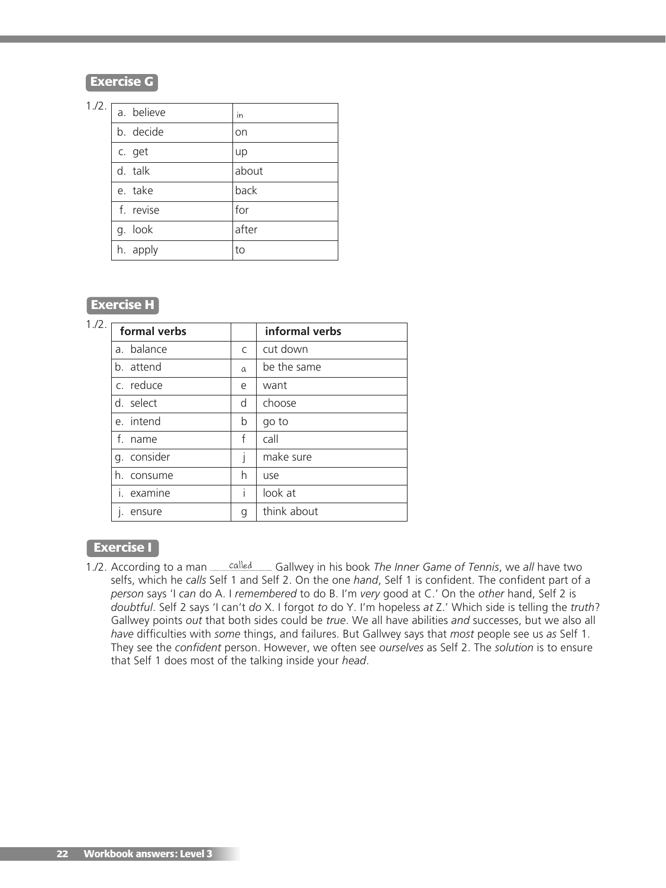**Exercise G**

| 1./2. | a. believe | in    |
|-------|------------|-------|
|       | b. decide  | on    |
|       | c. get     | up    |
|       | d. talk    | about |
|       | e. take    | back  |
|       | f. revise  | for   |
|       | g. look    | after |
|       | h. apply   | to    |
|       |            |       |

# **Exercise H**

| 1.72.       |                | informal verbs |
|-------------|----------------|----------------|
| a. balance  | $\mathsf{C}$   | cut down       |
| b. attend   | $\alpha$       | be the same    |
| c. reduce   | e              | want           |
| d. select   | d              | choose         |
| e. intend   | b              | go to          |
| f. name     | f              | call           |
| g. consider |                | make sure      |
| h. consume  | h              | use            |
| i. examine  | $\overline{1}$ | look at        |
| ensure      | g              | think about    |
|             | formal verbs   |                |

#### **Exercise I**

1./2. According to a man **called** Gallwey in his book *The Inner Game of Tennis*, we all have two selfs, which he *calls* Self 1 and Self 2. On the one *hand*, Self 1 is confident. The confident part of a *person* says 'I *can* do A. I *remembered* to do B. I'm *very* good at C.' On the *other* hand, Self 2 is *doubtful*. Self 2 says 'I can't *do* X. I forgot *to* do Y. I'm hopeless *at* Z.' Which side is telling the *truth*? Gallwey points *out* that both sides could be *true*. We all have abilities *and* successes, but we also all *have* difficulties with *some* things, and failures. But Gallwey says that *most* people see us *as* Self 1. They see the *confident* person. However, we often see *ourselves* as Self 2. The *solution* is to ensure that Self 1 does most of the talking inside your *head*.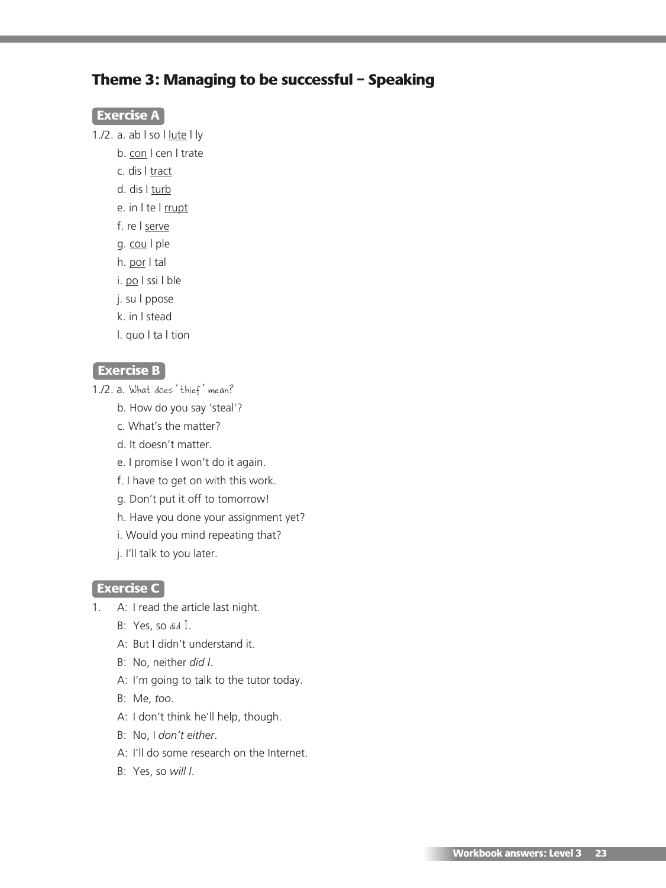# **Theme 3: Managing to be successful – Speaking**

#### **Exercise A**

- 1./2. a. ab | so | lute | ly
	- b. con | cen | trate
		- c. dis | tract
		- d. dis | turb
		- e. in I te I rrupt
		- f. re | serve
		- g. cou | ple
		- h. por | tal
		- i. po I ssi I ble
		- j. su | ppose
		- k. in | stead
		- l. quo | ta | tion

#### **Exercise B**

- 1./2. a. What does 'thief' mean?
	- b. How do you say 'steal'?
	- c. What's the matter?
	- d. It doesn't matter.
	- e. I promise I won't do it again.
	- f. I have to get on with this work.
	- g. Don't put it off to tomorrow!
	- h. Have you done your assignment yet?
	- i. Would you mind repeating that?
	- j. I'll talk to you later.

#### **Exercise C**

- 1. A: I read the article last night.
	- B: Yes, so did I.
	- A: But I didn't understand it.
	- B: No, neither *did I*.
	- A: I'm going to talk to the tutor today.
	- B: Me, *too*.
	- A: I don't think he'll help, though.
	- B: No, I *don't either*.
	- A: I'll do some research on the Internet.
	- B: Yes, so *will I*.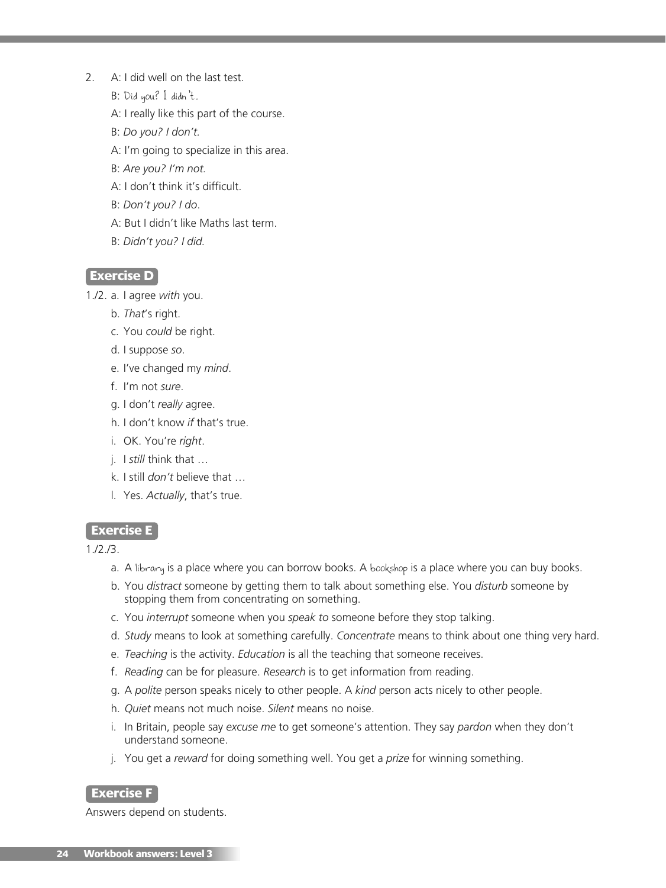- 2. A: I did well on the last test.
	- B: Did you? I didn't.
	- A: I really like this part of the course.
	- B: *Do you? I don't.*
	- A: I'm going to specialize in this area.
	- B: *Are you? I'm not.*
	- A: I don't think it's difficult.
	- B: *Don't you? I do*.
	- A: But I didn't like Maths last term.
	- B: *Didn't you? I did.*

#### **Exercise D**

- 1./2. a. I agree *with* you.
	- b. *That*'s right.
	- c. You *could* be right.
	- d. I suppose *so*.
	- e. I've changed my *mind*.
	- f. I'm not *sure*.
	- g. I don't *really* agree.
	- h. I don't know *if* that's true.
	- i. OK. You're *right*.
	- j. I *still* think that …
	- k. I still *don't* believe that …
	- l. Yes. *Actually*, that's true.

#### **Exercise E**

1./2./3.

- a. A library is a place where you can borrow books. A bookshop is a place where you can buy books.
- b. You *distract* someone by getting them to talk about something else. You *disturb* someone by stopping them from concentrating on something.
- c. You *interrupt* someone when you *speak to* someone before they stop talking.
- d. *Study* means to look at something carefully. *Concentrate* means to think about one thing very hard.
- e. *Teaching* is the activity. *Education* is all the teaching that someone receives.
- f. *Reading* can be for pleasure. *Research* is to get information from reading.
- g. A *polite* person speaks nicely to other people. A *kind* person acts nicely to other people.
- h. *Quiet* means not much noise. *Silent* means no noise.
- i. In Britain, people say *excuse me* to get someone's attention. They say *pardon* when they don't understand someone.
- j. You get a *reward* for doing something well. You get a *prize* for winning something.

#### **Exercise F**

Answers depend on students.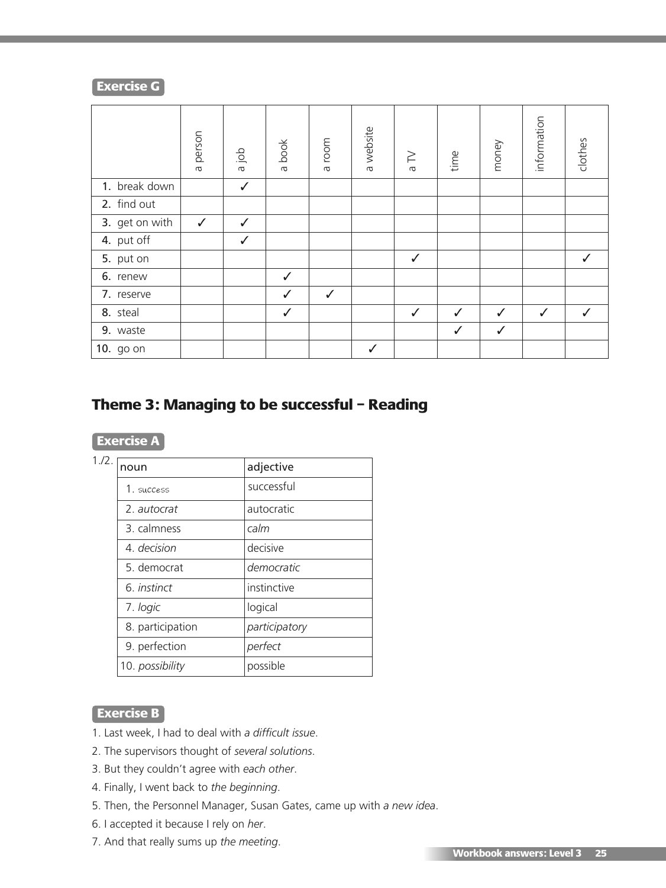#### **Exercise G**

|                | person<br>$\sigma$ | doj e        | a book       | room<br>$\sigma$ | a website | $\geq$<br>$\sigma$ | time | money        | information  | clothes |
|----------------|--------------------|--------------|--------------|------------------|-----------|--------------------|------|--------------|--------------|---------|
| 1. break down  |                    | $\checkmark$ |              |                  |           |                    |      |              |              |         |
| 2. find out    |                    |              |              |                  |           |                    |      |              |              |         |
| 3. get on with | $\checkmark$       | $\checkmark$ |              |                  |           |                    |      |              |              |         |
| 4. put off     |                    | $\checkmark$ |              |                  |           |                    |      |              |              |         |
| 5. put on      |                    |              |              |                  |           | ✓                  |      |              |              |         |
| 6. renew       |                    |              | $\checkmark$ |                  |           |                    |      |              |              |         |
| 7. reserve     |                    |              | ✓            | $\checkmark$     |           |                    |      |              |              |         |
| 8. steal       |                    |              | $\checkmark$ |                  |           | ✓                  | ✓    | ✓            | $\checkmark$ | ✓       |
| 9. waste       |                    |              |              |                  |           |                    | ✓    | $\checkmark$ |              |         |
| 10. go on      |                    |              |              |                  | ✓         |                    |      |              |              |         |

# **Theme 3: Managing to be successful – Reading**

| 1./2. | noun               | adjective     |
|-------|--------------------|---------------|
|       | 1. success         | successful    |
|       | 2. autocrat        | autocratic    |
|       | 3. calmness        | calm          |
|       | 4. decision        | decisive      |
|       | 5. democrat        | democratic    |
|       | 6. <i>instinct</i> | instinctive   |
|       | 7. logic           | logical       |
|       | 8. participation   | participatory |
|       | 9. perfection      | perfect       |
|       | 10. possibility    | possible      |

#### **Exercise B**

- 1. Last week, I had to deal with *a difficult issue*.
- 2. The supervisors thought of *several solutions*.
- 3. But they couldn't agree with *each other*.
- 4. Finally, I went back to *the beginning*.
- 5. Then, the Personnel Manager, Susan Gates, came up with *a new idea*.
- 6. I accepted it because I rely on *her*.
- 7. And that really sums up *the meeting*.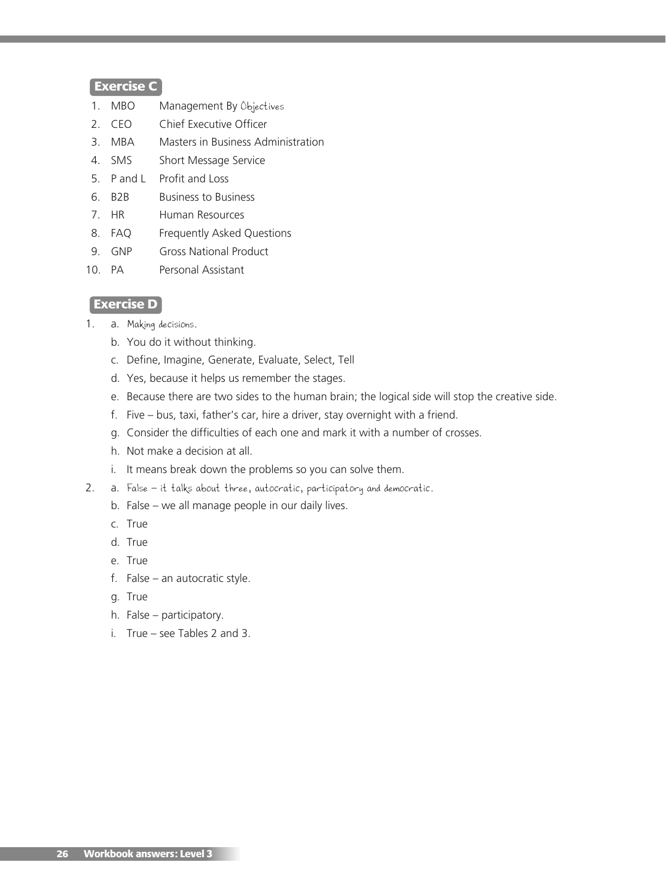#### **Exercise C**

- 1. MBO Management By Objectives
- 2. CEO Chief Executive Officer
- 3. MBA Masters in Business Administration
- 4. SMS Short Message Service
- 5. P and L Profit and Loss
- 6. B2B Business to Business
- 7. HR Human Resources
- 8. FAQ Frequently Asked Questions
- 9. GNP Gross National Product
- 10. PA Personal Assistant

#### **Exercise D**

- 1. a. Making decisions.
	- b. You do it without thinking.
	- c. Define, Imagine, Generate, Evaluate, Select, Tell
	- d. Yes, because it helps us remember the stages.
	- e. Because there are two sides to the human brain; the logical side will stop the creative side.
	- f. Five bus, taxi, father's car, hire a driver, stay overnight with a friend.
	- g. Consider the difficulties of each one and mark it with a number of crosses.
	- h. Not make a decision at all.
	- i. It means break down the problems so you can solve them.
- 2. a. False it talks about three, autocratic, participatory and democratic.
	- b. False we all manage people in our daily lives.
	- c. True
	- d. True
	- e. True
	- f. False an autocratic style.
	- g. True
	- h. False participatory.
	- i. True see Tables 2 and 3.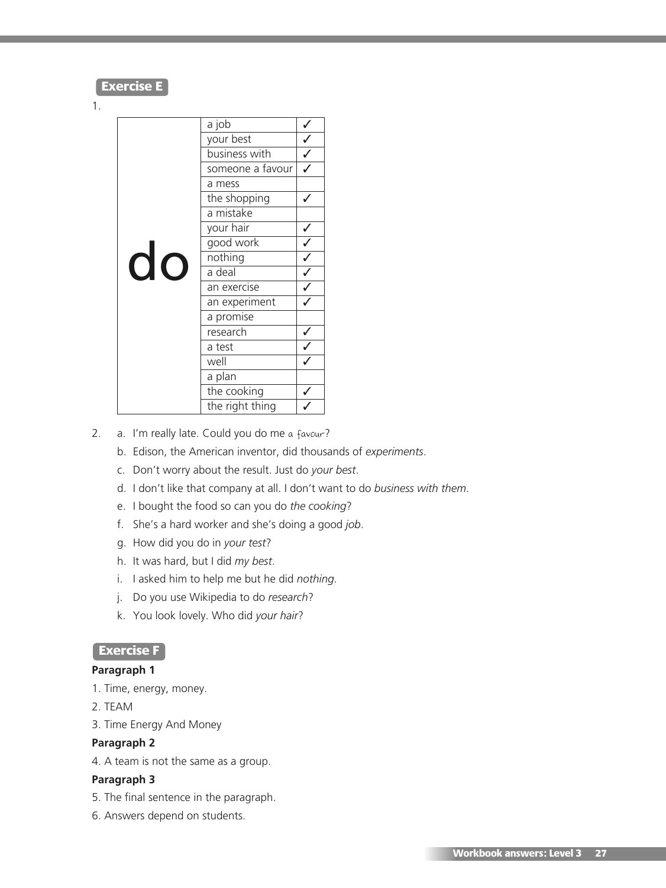#### **Exercise E**

#### 1.

|    | a job            |                                                                                                                                                                                                                                                                                                                                                                                                                           |
|----|------------------|---------------------------------------------------------------------------------------------------------------------------------------------------------------------------------------------------------------------------------------------------------------------------------------------------------------------------------------------------------------------------------------------------------------------------|
|    | your best        |                                                                                                                                                                                                                                                                                                                                                                                                                           |
|    | business with    | $\frac{1}{\sqrt{2}}$                                                                                                                                                                                                                                                                                                                                                                                                      |
|    | someone a favour |                                                                                                                                                                                                                                                                                                                                                                                                                           |
|    | a mess           |                                                                                                                                                                                                                                                                                                                                                                                                                           |
|    | the shopping     |                                                                                                                                                                                                                                                                                                                                                                                                                           |
|    | a mistake        |                                                                                                                                                                                                                                                                                                                                                                                                                           |
|    | your hair        |                                                                                                                                                                                                                                                                                                                                                                                                                           |
|    | good work        |                                                                                                                                                                                                                                                                                                                                                                                                                           |
| do | nothing          | $\overline{\checkmark}$                                                                                                                                                                                                                                                                                                                                                                                                   |
|    | a deal           | $\sqrt{\frac{1}{1-\frac{1}{1-\frac{1}{1-\frac{1}{1-\frac{1}{1-\frac{1}{1-\frac{1}{1-\frac{1}{1-\frac{1}{1-\frac{1}{1-\frac{1}{1-\frac{1}{1-\frac{1}{1-\frac{1}{1-\frac{1}{1-\frac{1}{1-\frac{1}{1-\frac{1}{1-\frac{1}{1-\frac{1}{1-\frac{1}{1-\frac{1}{1-\frac{1}{1-\frac{1}{1-\frac{1}{1-\frac{1}{1-\frac{1}{1-\frac{1}{1-\frac{1}{1-\frac{1}{1-\frac{1}{1-\frac{1}{1-\frac{1}{1-\frac{1}{1-\frac{1}{1-\frac{1}{1-\frac$ |
|    | an exercise      |                                                                                                                                                                                                                                                                                                                                                                                                                           |
|    | an experiment    |                                                                                                                                                                                                                                                                                                                                                                                                                           |
|    | a promise        |                                                                                                                                                                                                                                                                                                                                                                                                                           |
|    | research         |                                                                                                                                                                                                                                                                                                                                                                                                                           |
|    | a test           |                                                                                                                                                                                                                                                                                                                                                                                                                           |
|    | well             |                                                                                                                                                                                                                                                                                                                                                                                                                           |
|    | a plan           |                                                                                                                                                                                                                                                                                                                                                                                                                           |
|    | the cooking      |                                                                                                                                                                                                                                                                                                                                                                                                                           |
|    | the right thing  |                                                                                                                                                                                                                                                                                                                                                                                                                           |

- 2. a. I'm really late. Could you do me a favour?
	- b. Edison, the American inventor, did thousands of *experiments*.
	- c. Don't worry about the result. Just do *your best*.
	- d. I don't like that company at all. I don't want to do *business with them*.
	- e. I bought the food so can you do *the cooking*?
	- f. She's a hard worker and she's doing a good *job*.
	- g. How did you do in *your test*?
	- h. It was hard, but I did *my best*.
	- i. I asked him to help me but he did *nothing*.
	- j. Do you use Wikipedia to do *research*?
	- k. You look lovely. Who did *your hair*?

# **Exercise F**

#### **Paragraph 1**

- 1. Time, energy, money.
- 2. TEAM
- 3. Time Energy And Money

#### **Paragraph 2**

4. A team is not the same as a group.

#### **Paragraph 3**

- 5. The final sentence in the paragraph.
- 6. Answers depend on students.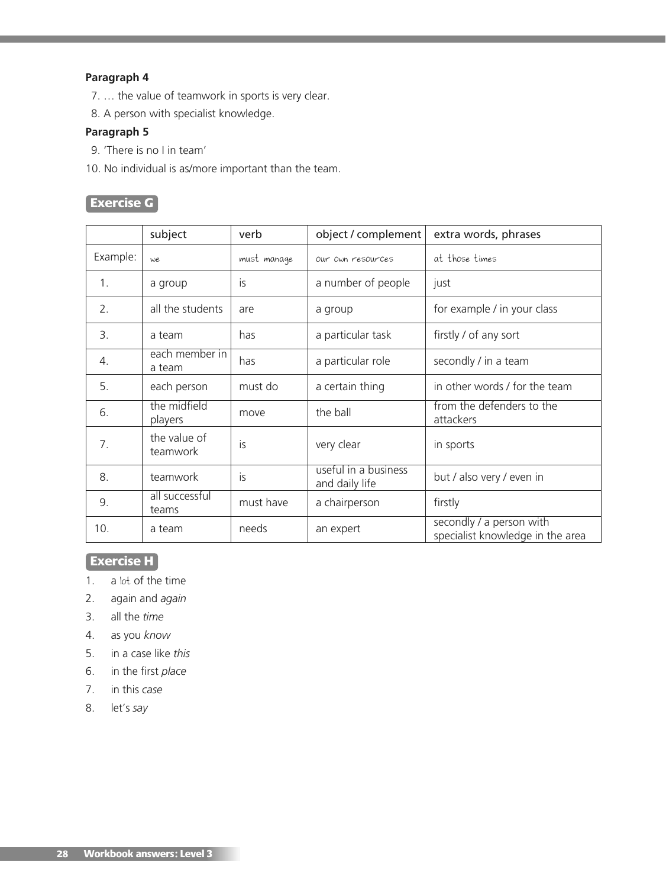# **Paragraph 4**

- 7. … the value of teamwork in sports is very clear.
- 8. A person with specialist knowledge.

#### **Paragraph 5**

- 9. 'There is no I in team'
- 10. No individual is as/more important than the team.

# **Exercise G**

|                | subject                  | verb        | object / complement                    | extra words, phrases                                         |
|----------------|--------------------------|-------------|----------------------------------------|--------------------------------------------------------------|
| Example:       | we                       | must manage | Our Own resources                      | at those times                                               |
| 1.             | a group                  | <b>is</b>   | a number of people                     | just                                                         |
| 2.             | all the students         | are         | a group                                | for example / in your class                                  |
| $\mathbf{3}$ . | a team                   | has         | a particular task                      | firstly / of any sort                                        |
| 4.             | each member in<br>a team | has         | a particular role                      | secondly / in a team                                         |
| 5.             | each person              | must do     | a certain thing                        | in other words / for the team                                |
| 6.             | the midfield<br>players  | move        | the ball                               | from the defenders to the<br>attackers                       |
| 7.             | the value of<br>teamwork | is          | very clear                             | in sports                                                    |
| 8.             | teamwork                 | is          | useful in a business<br>and daily life | but / also very / even in                                    |
| 9.             | all successful<br>teams  | must have   | a chairperson                          | firstly                                                      |
| 10.            | a team                   | needs       | an expert                              | secondly / a person with<br>specialist knowledge in the area |

# **Exercise H**

- 1. a lot of the time
- 2. again and *again*
- 3. all the *time*
- 4. as you *know*
- 5. in a case like *this*
- 6. in the first *place*
- 7. in this *case*
- 8. let's *say*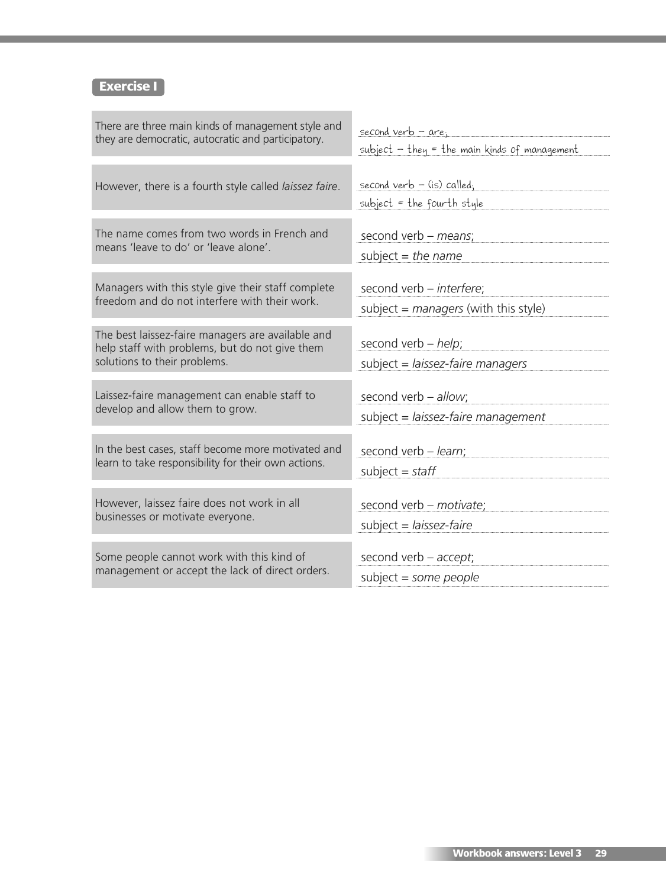# **Exercise I**

| There are three main kinds of management style and                                                                                  | <u>second verb - are;</u>                                    |
|-------------------------------------------------------------------------------------------------------------------------------------|--------------------------------------------------------------|
| they are democratic, autocratic and participatory.                                                                                  | subject $-$ they = the main kinds of management              |
| However, there is a fourth style called laissez faire.                                                                              | second verb $-$ (is) called,<br>subject = the fourth style   |
| The name comes from two words in French and                                                                                         | second verb - means;                                         |
| means 'leave to do' or 'leave alone'.                                                                                               | subject = the name                                           |
| Managers with this style give their staff complete                                                                                  | second verb - interfere;                                     |
| freedom and do not interfere with their work.                                                                                       | subject = $managers$ (with this style)                       |
| The best laissez-faire managers are available and<br>help staff with problems, but do not give them<br>solutions to their problems. | second verb $-$ help;<br>subject = $l$ aissez-faire managers |
| Laissez-faire management can enable staff to                                                                                        | second verb - allow;                                         |
| develop and allow them to grow.                                                                                                     | subject = $l$ aissez-faire management                        |
| In the best cases, staff become more motivated and                                                                                  | second verb - learn;                                         |
| learn to take responsibility for their own actions.                                                                                 | subject = staff                                              |
| However, laissez faire does not work in all                                                                                         | second verb - motivate;                                      |
| businesses or motivate everyone.                                                                                                    | subject = $l$ aissez-faire                                   |
| Some people cannot work with this kind of                                                                                           | second verb $-$ accept;                                      |
| management or accept the lack of direct orders.                                                                                     | subject = some people                                        |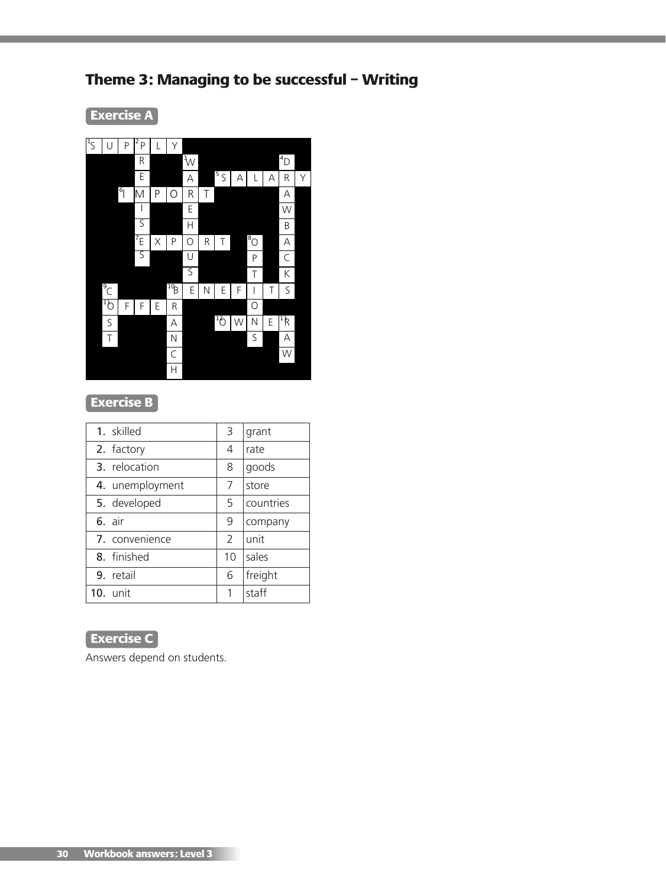# **Theme 3: Managing to be successful – Writing**

**Exercise A**



# **Exercise B**

| 1. skilled      | 3             | grant     |
|-----------------|---------------|-----------|
| 2. factory      | 4             | rate      |
| 3. relocation   | 8             | goods     |
| 4. unemployment | 7             | store     |
| 5. developed    | 5             | countries |
| 6. air          | 9             | company   |
| 7. convenience  | $\mathcal{P}$ | unit      |
| 8. finished     | 10            | sales     |
| 9. retail       | 6             | freight   |
| $10.$ unit      | 1             | staff     |

# **Exercise C**

Answers depend on students.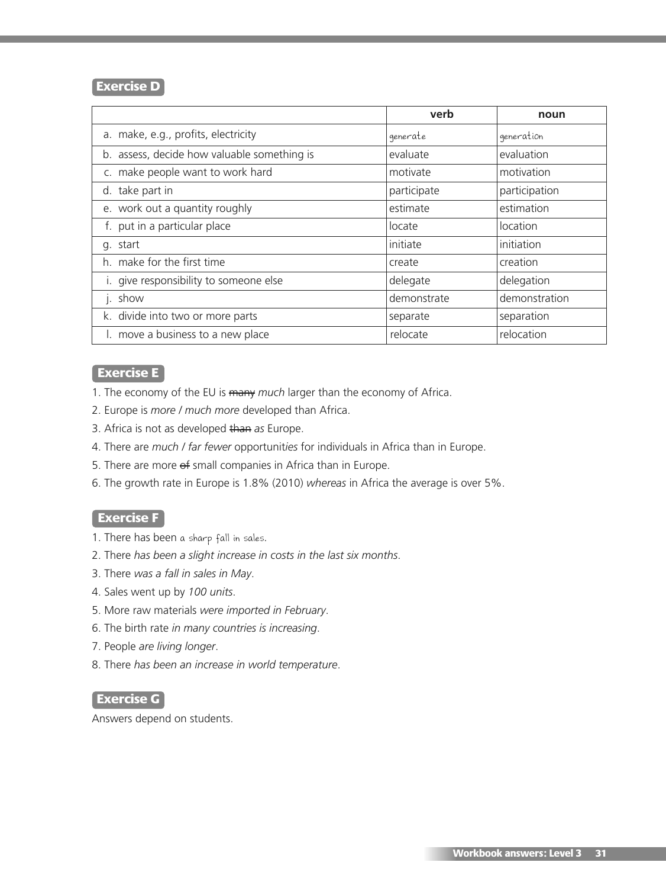#### **Exercise D**

|                                             | verb        | noun          |
|---------------------------------------------|-------------|---------------|
| a. make, e.g., profits, electricity         | generate    | generation    |
| b. assess, decide how valuable something is | evaluate    | evaluation    |
| c. make people want to work hard            | motivate    | motivation    |
| d. take part in                             | participate | participation |
| e. work out a quantity roughly              | estimate    | estimation    |
| f. put in a particular place                | locate      | location      |
| g. start                                    | initiate    | initiation    |
| h. make for the first time                  | create      | creation      |
| i. give responsibility to someone else      | delegate    | delegation    |
| j. show                                     | demonstrate | demonstration |
| k. divide into two or more parts            | separate    | separation    |
| I. move a business to a new place           | relocate    | relocation    |

### **Exercise E**

1. The economy of the EU is many *much* larger than the economy of Africa.

- 2. Europe is *more / much more* developed than Africa.
- 3. Africa is not as developed than *as* Europe.
- 4. There are *much / far fewer* opportunit*ies* for individuals in Africa than in Europe.
- 5. There are more  $\Theta$  small companies in Africa than in Europe.
- 6. The growth rate in Europe is 1.8% (2010) *whereas* in Africa the average is over 5%.

#### **Exercise F**

- 1. There has been a sharp fall in sales.
- 2. There *has been a slight increase in costs in the last six months*.
- 3. There *was a fall in sales in May*.
- 4. Sales went up by *100 units*.
- 5. More raw materials *were imported in February*.
- 6. The birth rate *in many countries is increasing*.
- 7. People *are living longer*.
- 8. There *has been an increase in world temperature*.

#### **Exercise G**

Answers depend on students.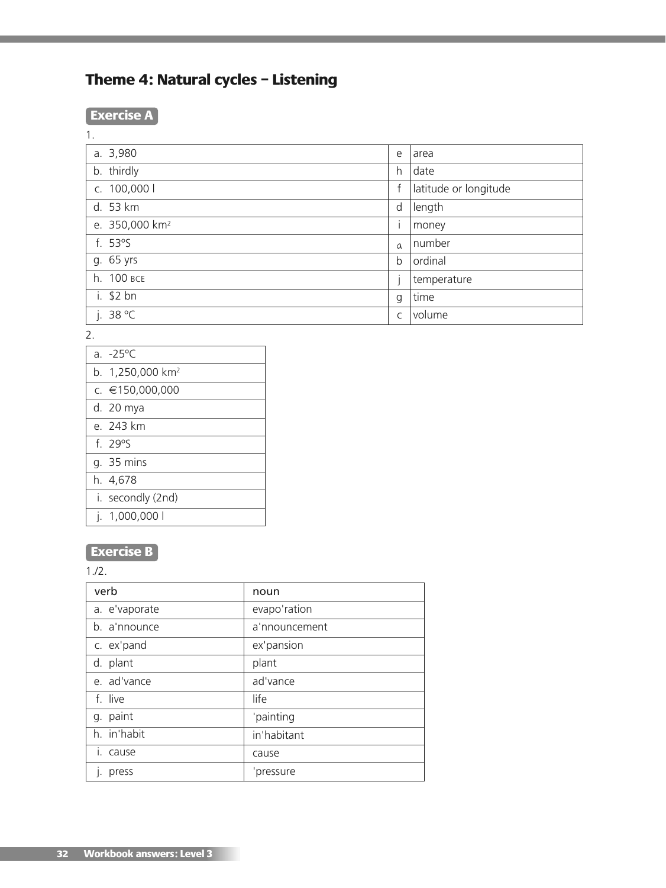# **Theme 4: Natural cycles – Listening**

# **Exercise A**

| × |  |  |
|---|--|--|
|   |  |  |

| e        | l area                |
|----------|-----------------------|
| h.       | date                  |
| f        | latitude or longitude |
| d        | length                |
|          | money                 |
| $\alpha$ | number                |
| b        | ordinal               |
|          | temperature           |
| g        | time                  |
| C        | <i>volume</i>         |
|          |                       |

2.

| a. $-25^{\circ}$ C           |
|------------------------------|
| b. 1,250,000 km <sup>2</sup> |
| c. €150,000,000              |
| d. 20 mya                    |
| e. 243 km                    |
| $f.79^\circ$ S               |
| g. 35 mins                   |
| h. 4,678                     |
| i. secondly (2nd)            |
| 1,000,000 l                  |

# **Exercise B**

1./2.

| verb          | noun          |
|---------------|---------------|
| a. e'vaporate | evapo'ration  |
| b. a'nnounce  | a'nnouncement |
| c. ex'pand    | ex'pansion    |
| d. plant      | plant         |
| e. ad'vance   | ad'vance      |
| f. live       | life          |
| g. paint      | 'painting     |
| h. in'habit   | in'habitant   |
| i. cause      | cause         |
| press         | 'pressure     |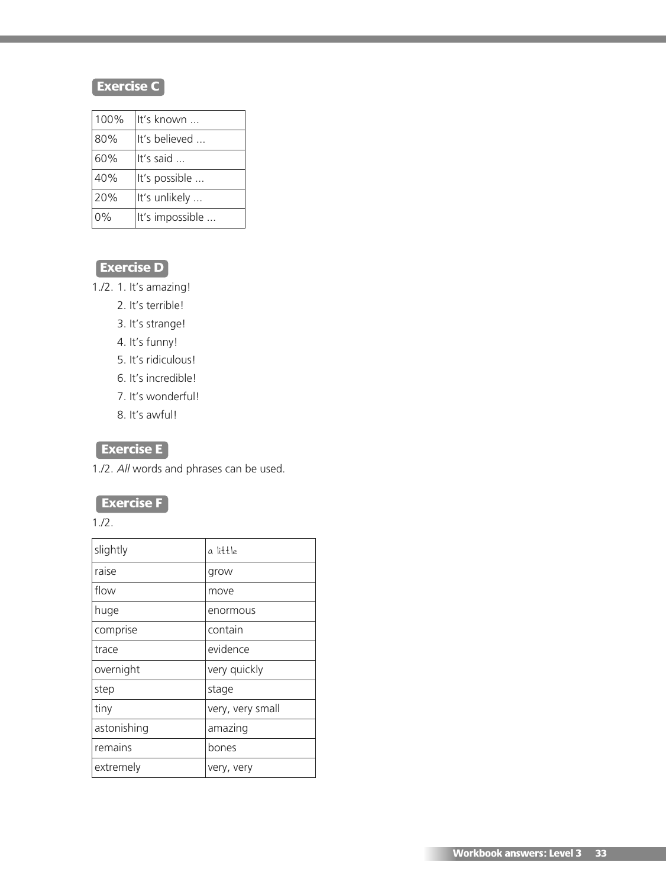# **Exercise C**

| 100% | It's known         |
|------|--------------------|
| 80%  | It's believed      |
| 60%  | It's said $\ldots$ |
| 40%  | It's possible      |
| 20%  | It's unlikely      |
| 0%   | It's impossible    |

# **Exercise D**

1./2. 1. It's amazing!

- 2. It's terrible!
- 3. It's strange!
- 4. It's funny!
- 5. It's ridiculous!
- 6. It's incredible!
- 7. It's wonderful!
- 8. It's awful!

# **Exercise E**

1./2. *All* words and phrases can be used.

# **Exercise F**

1./2.

| slightly    | a little         |
|-------------|------------------|
| raise       | grow             |
| flow        | move             |
| huge        | enormous         |
| comprise    | contain          |
| trace       | evidence         |
| overnight   | very quickly     |
| step        | stage            |
| tiny        | very, very small |
| astonishing | amazing          |
| remains     | bones            |
| extremely   | very, very       |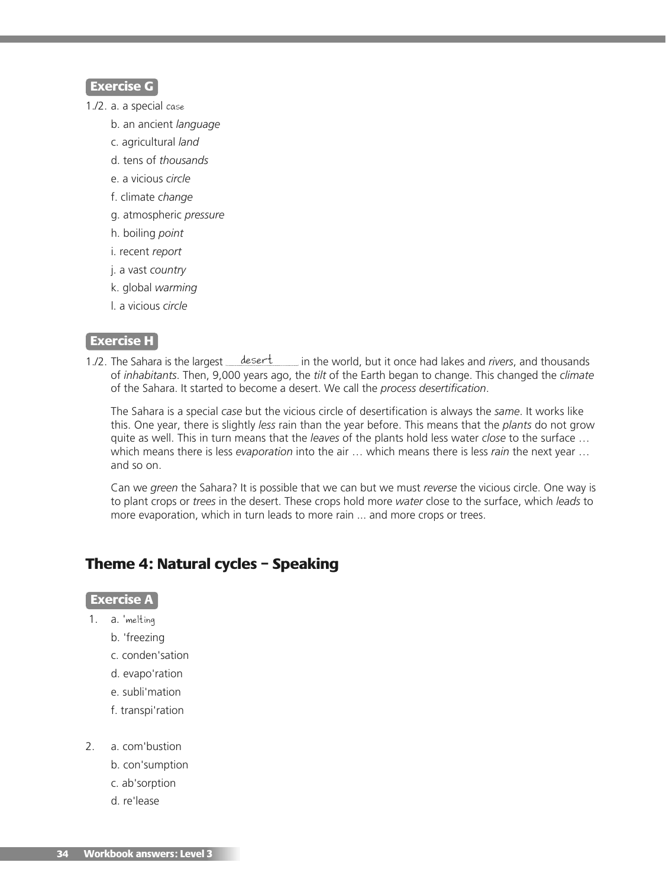#### **Exercise G**

- 1./2. a. a special case
	- b. an ancient *language*
	- c. agricultural *land*
	- d. tens of *thousands*
	- e. a vicious *circle*
	- f. climate *change*
	- g. atmospheric *pressure*
	- h. boiling *point*
	- i. recent *report*
	- j. a vast *country*
	- k. global *warming*
	- l. a vicious *circle*

#### **Exercise H**

1./2. The Sahara is the largest *desert* in the world, but it once had lakes and *rivers*, and thousands of *inhabitants*. Then, 9,000 years ago, the *tilt* of the Earth began to change. This changed the *climate* of the Sahara. It started to become a desert. We call the *process desertification*.

The Sahara is a special *case* but the vicious circle of desertification is always the *same*. It works like this. One year, there is slightly *less* rain than the year before. This means that the *plants* do not grow quite as well. This in turn means that the *leaves* of the plants hold less water *close* to the surface … which means there is less *evaporation* into the air … which means there is less *rain* the next year … and so on.

Can we *green* the Sahara? It is possible that we can but we must *reverse* the vicious circle. One way is to plant crops or *trees* in the desert. These crops hold more *water* close to the surface, which *leads* to more evaporation, which in turn leads to more rain ... and more crops or trees.

# **Theme 4: Natural cycles – Speaking**

#### **Exercise A**

- 1. a. 'melting
	- b. 'freezing
	- c. conden'sation
	- d. evapo'ration
	- e. subli'mation
	- f. transpi'ration
- 2. a. com'bustion
	- b. con'sumption
	- c. ab'sorption
	- d. re'lease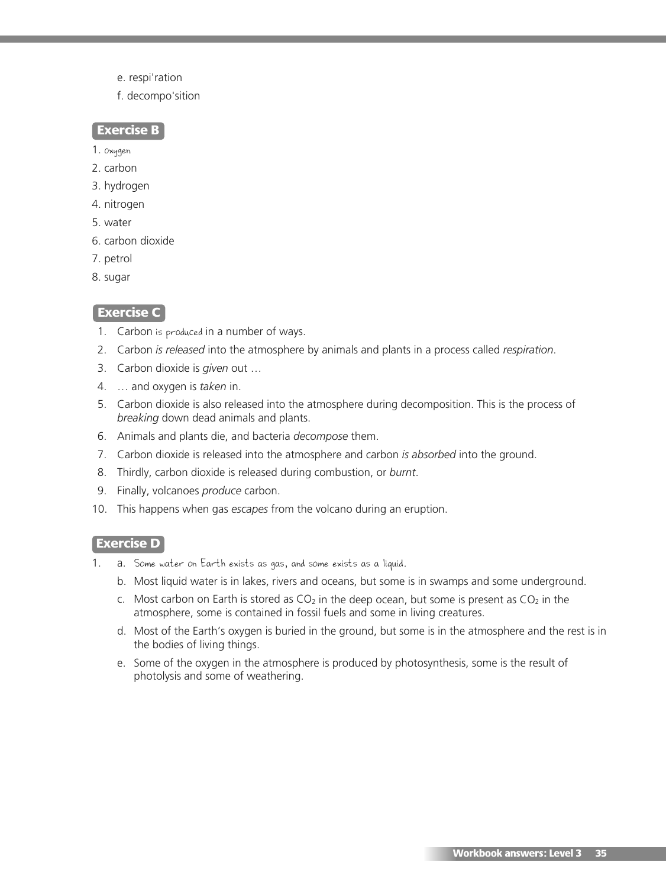- e. respi'ration
- f. decompo'sition

#### **Exercise B**

- 1. oxygen
- 2. carbon
- 3. hydrogen
- 4. nitrogen
- 5. water
- 6. carbon dioxide
- 7. petrol
- 8. sugar

#### **Exercise C**

- 1. Carbon is produced in a number of ways.
- 2. Carbon *is released* into the atmosphere by animals and plants in a process called *respiration*.
- 3. Carbon dioxide is *given* out …
- 4. … and oxygen is *taken* in.
- 5. Carbon dioxide is also released into the atmosphere during decomposition. This is the process of *breaking* down dead animals and plants.
- 6. Animals and plants die, and bacteria *decompose* them.
- 7. Carbon dioxide is released into the atmosphere and carbon *is absorbed* into the ground.
- 8. Thirdly, carbon dioxide is released during combustion, or *burnt*.
- 9. Finally, volcanoes *produce* carbon.
- 10. This happens when gas *escapes* from the volcano during an eruption.

#### **Exercise D**

- 1. a. Some water on Earth exists as gas, and some exists as a liquid.
	- b. Most liquid water is in lakes, rivers and oceans, but some is in swamps and some underground.
	- c. Most carbon on Earth is stored as  $CO<sub>2</sub>$  in the deep ocean, but some is present as  $CO<sub>2</sub>$  in the atmosphere, some is contained in fossil fuels and some in living creatures.
	- d. Most of the Earth's oxygen is buried in the ground, but some is in the atmosphere and the rest is in the bodies of living things.
	- e. Some of the oxygen in the atmosphere is produced by photosynthesis, some is the result of photolysis and some of weathering.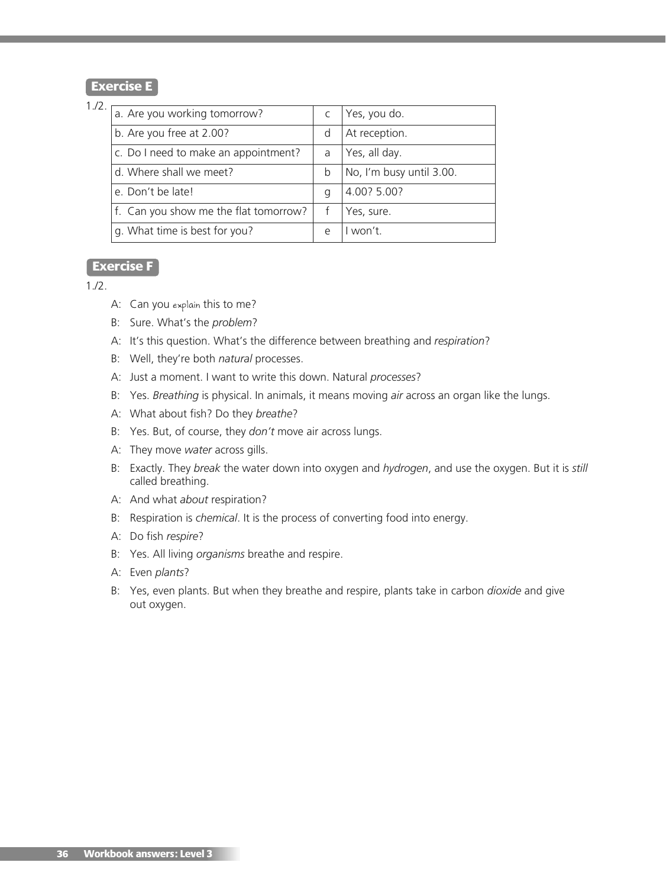#### **Exercise E**

### 1./2.

| a. Are you working tomorrow?          |            | Yes, you do.             |
|---------------------------------------|------------|--------------------------|
| b. Are you free at 2.00?              | d          | At reception.            |
| c. Do I need to make an appointment?  | a          | Yes, all day.            |
| d. Where shall we meet?               | b          | No, I'm busy until 3.00. |
| e. Don't be late!                     | a          | 4.00? 5.00?              |
| f. Can you show me the flat tomorrow? |            | Yes, sure.               |
| g. What time is best for you?         | $\epsilon$ | I won't.                 |

#### **Exercise F**

#### 1./2.

- A: Can you explain this to me?
- B: Sure. What's the *problem*?
- A: It's this question. What's the difference between breathing and *respiration*?
- B: Well, they're both *natural* processes.
- A: Just a moment. I want to write this down. Natural *processes*?
- B: Yes. *Breathing* is physical. In animals, it means moving *air* across an organ like the lungs.
- A: What about fish? Do they *breathe*?
- B: Yes. But, of course, they *don't* move air across lungs.
- A: They move *water* across gills.
- B: Exactly. They *break* the water down into oxygen and *hydrogen*, and use the oxygen. But it is *still* called breathing.
- A: And what *about* respiration?
- B: Respiration is *chemical*. It is the process of converting food into energy.
- A: Do fish *respire*?
- B: Yes. All living *organisms* breathe and respire.
- A: Even *plants*?
- B: Yes, even plants. But when they breathe and respire, plants take in carbon *dioxide* and give out oxygen.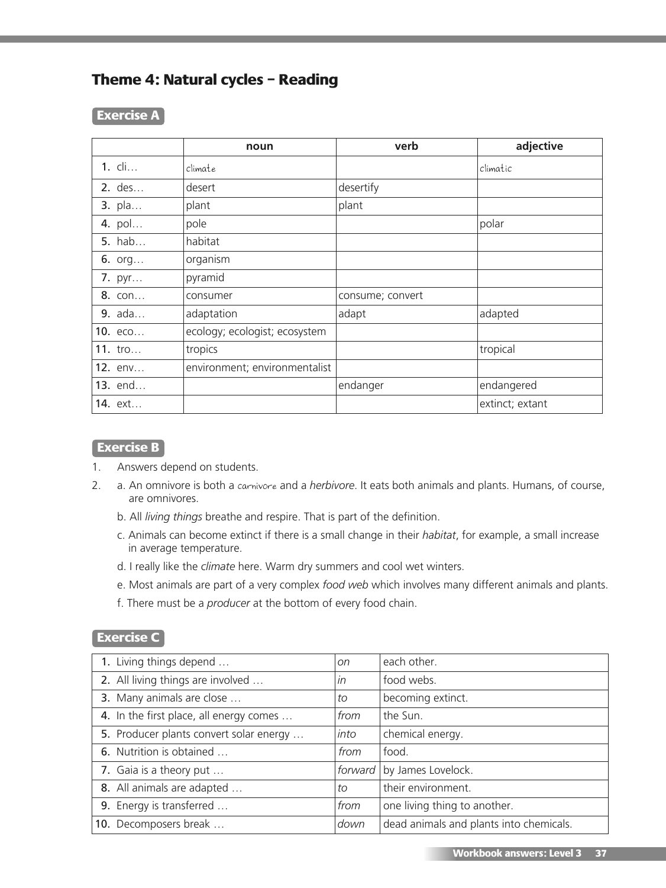# **Theme 4: Natural cycles – Reading**

#### **Exercise A**

|               | noun                          | verb             | adjective       |
|---------------|-------------------------------|------------------|-----------------|
| 1. cli        | climate                       |                  | climatic        |
| $2.$ des      | desert                        | desertify        |                 |
| 3. pla        | plant                         | plant            |                 |
| 4. pol        | pole                          |                  | polar           |
| <b>5.</b> hab | habitat                       |                  |                 |
| 6. $org$      | organism                      |                  |                 |
| 7. pyr        | pyramid                       |                  |                 |
| 8. con        | consumer                      | consume; convert |                 |
| 9. ada        | adaptation                    | adapt            | adapted         |
| 10. есо       | ecology; ecologist; ecosystem |                  |                 |
| 11. tro       | tropics                       |                  | tropical        |
| 12. env       | environment; environmentalist |                  |                 |
| 13. end       |                               | endanger         | endangered      |
| 14. ext       |                               |                  | extinct; extant |

### **Exercise B**

- 1. Answers depend on students.
- 2. a. An omnivore is both a carnivore and a *herbivore*. It eats both animals and plants. Humans, of course, are omnivores.
	- b. All *living things* breathe and respire. That is part of the definition.
	- c. Animals can become extinct if there is a small change in their *habitat*, for example, a small increase in average temperature.
	- d. I really like the *climate* here. Warm dry summers and cool wet winters.
	- e. Most animals are part of a very complex *food web* which involves many different animals and plants.
	- f. There must be a *producer* at the bottom of every food chain.

#### **Exercise C**

| 1. Living things depend                 | <sub>on</sub> | each other.                             |
|-----------------------------------------|---------------|-----------------------------------------|
| 2. All living things are involved       | in            | food webs.                              |
| 3. Many animals are close               | to            | becoming extinct.                       |
| 4. In the first place, all energy comes | from          | the Sun.                                |
| 5. Producer plants convert solar energy | into          | chemical energy.                        |
| 6. Nutrition is obtained                | from          | food.                                   |
| 7. Gaia is a theory put                 | forward       | by James Lovelock.                      |
| 8. All animals are adapted              | to            | their environment.                      |
| 9. Energy is transferred                | from          | one living thing to another.            |
| 10. Decomposers break                   | down          | dead animals and plants into chemicals. |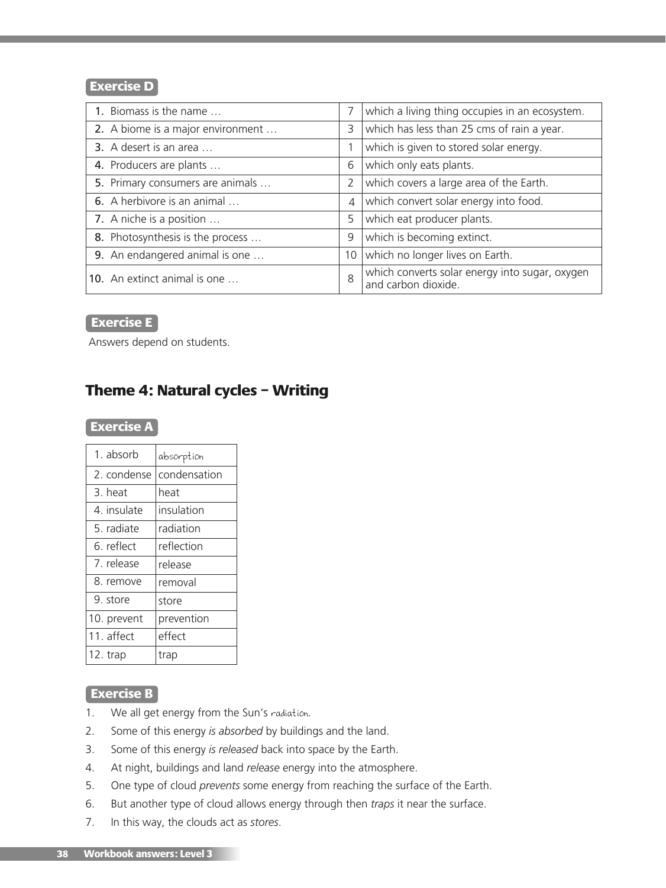#### **Exercise D**

| 1. Biomass is the name            | 7              | which a living thing occupies in an ecosystem.                        |
|-----------------------------------|----------------|-----------------------------------------------------------------------|
| 2. A biome is a major environment | 3              | which has less than 25 cms of rain a year.                            |
| 3. A desert is an area            |                | which is given to stored solar energy.                                |
| 4. Producers are plants           | 6              | which only eats plants.                                               |
| 5. Primary consumers are animals  | 2              | which covers a large area of the Earth.                               |
| 6. A herbivore is an animal       | $\overline{4}$ | which convert solar energy into food.                                 |
| 7. A niche is a position          | 5              | which eat producer plants.                                            |
| 8. Photosynthesis is the process  | 9              | which is becoming extinct.                                            |
| 9. An endangered animal is one    | 10             | which no longer lives on Earth.                                       |
| 10. An extinct animal is one      | 8              | which converts solar energy into sugar, oxygen<br>and carbon dioxide. |

#### **Exercise E**

Answers depend on students.

# **Theme 4: Natural cycles – Writing**

# **Exercise A**

| 1. absorb   | absorption   |
|-------------|--------------|
| 2. condense | condensation |
| 3. heat     | heat         |
| 4. insulate | insulation   |
| 5. radiate  | radiation    |
| 6. reflect  | reflection   |
| 7. release  | release      |
| 8. remove   | removal      |
| 9. store    | store        |
| 10. prevent | prevention   |
| 11. affect  | effect       |
| 12. trap    | trap         |

#### **Exercise B**

- 1. We all get energy from the Sun's radiation.
- 2. Some of this energy *is absorbed* by buildings and the land.
- 3. Some of this energy *is released* back into space by the Earth.
- 4. At night, buildings and land *release* energy into the atmosphere.
- 5. One type of cloud *prevents* some energy from reaching the surface of the Earth.
- 6. But another type of cloud allows energy through then *traps* it near the surface.
- 7. In this way, the clouds act as *stores*.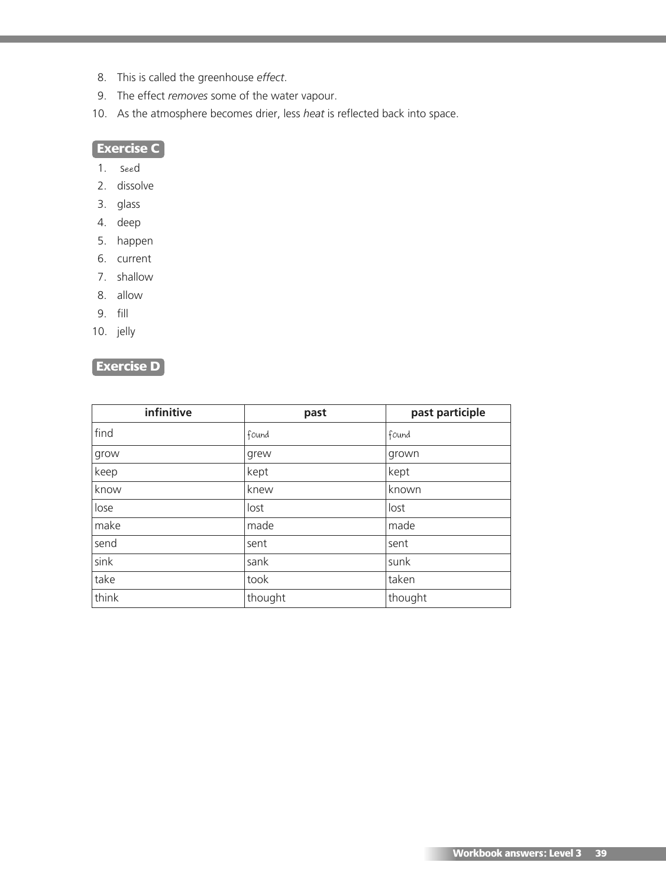- 8. This is called the greenhouse *effect*.
- 9. The effect *removes* some of the water vapour.
- 10. As the atmosphere becomes drier, less *heat* is reflected back into space.

### **Exercise C**

- 1. seed
- 2. dissolve
- 3. glass
- 4. deep
- 5. happen
- 6. current
- 7. shallow
- 8. allow
- 9. fill
- 10. jelly

# **Exercise D**

| infinitive | past    | past participle |
|------------|---------|-----------------|
| find       | found   | found           |
| grow       | grew    | grown           |
| keep       | kept    | kept            |
| know       | knew    | known           |
| lose       | lost    | lost            |
| make       | made    | made            |
| send       | sent    | sent            |
| sink       | sank    | sunk            |
| take       | took    | taken           |
| think      | thought | thought         |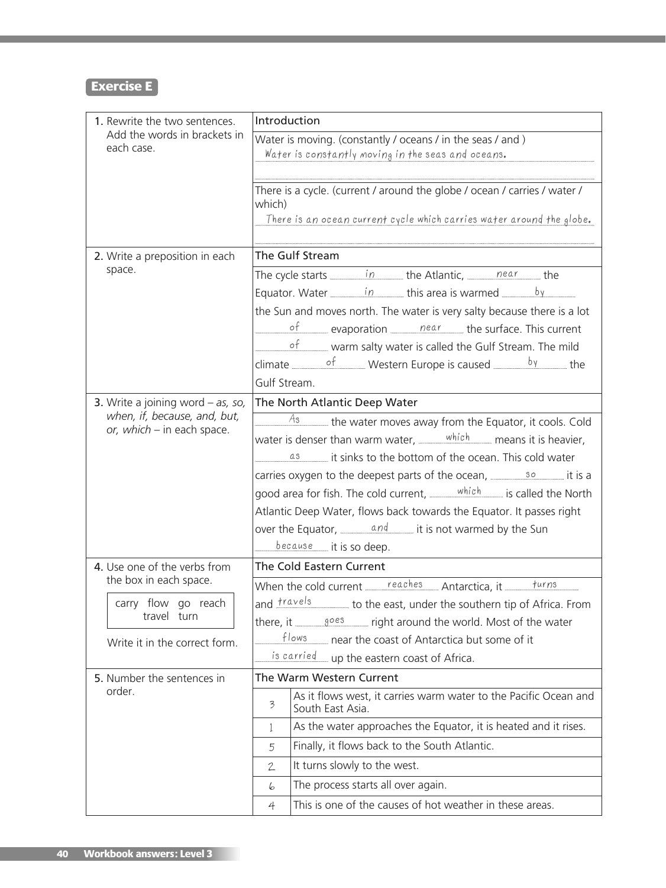# **Exercise E**

| 1. Rewrite the two sentences.                                              | Introduction                                                                                                                                                 |  |  |
|----------------------------------------------------------------------------|--------------------------------------------------------------------------------------------------------------------------------------------------------------|--|--|
| Add the words in brackets in<br>each case.                                 | Water is moving. (constantly / oceans / in the seas / and )<br>Water is constantly moving in the seas and oceans.                                            |  |  |
|                                                                            | There is a cycle. (current / around the globe / ocean / carries / water /<br>which)<br>There is an ocean current cycle which carries water around the globe. |  |  |
| 2. Write a preposition in each                                             | The Gulf Stream                                                                                                                                              |  |  |
| space.                                                                     | The cycle starts $\frac{in}{\sqrt{2}}$ the Atlantic, $\frac{near}{\sqrt{2}}$ the                                                                             |  |  |
|                                                                            |                                                                                                                                                              |  |  |
|                                                                            | the Sun and moves north. The water is very salty because there is a lot                                                                                      |  |  |
|                                                                            | $\frac{\rho f}{\rho}$ evaporation <u>equal near</u> the surface. This current                                                                                |  |  |
|                                                                            | $of$ warm salty water is called the Gulf Stream. The mild                                                                                                    |  |  |
|                                                                            | climate $\frac{of}{}$ Western Europe is caused ______ <sup>by</sup> the                                                                                      |  |  |
|                                                                            | Gulf Stream.                                                                                                                                                 |  |  |
| <b>3.</b> Write a joining word $-$ as, so,<br>when, if, because, and, but, | The North Atlantic Deep Water                                                                                                                                |  |  |
| or, which – in each space.                                                 | As<br>the water moves away from the Equator, it cools. Cold                                                                                                  |  |  |
|                                                                            | water is denser than warm water, $\frac{which}{\sqrt{h^2 + h^2}}$ means it is heavier,                                                                       |  |  |
|                                                                            | $\frac{a_3}{a_1}$ it sinks to the bottom of the ocean. This cold water                                                                                       |  |  |
|                                                                            | carries oxygen to the deepest parts of the ocean, <u>______________</u> it is a                                                                              |  |  |
|                                                                            | good area for fish. The cold current, which is called the North<br>Atlantic Deep Water, flows back towards the Equator. It passes right                      |  |  |
|                                                                            | over the Equator, $\frac{and}{end}$ it is not warmed by the Sun                                                                                              |  |  |
|                                                                            | $because$ it is so deep.                                                                                                                                     |  |  |
| 4. Use one of the verbs from                                               | The Cold Eastern Current                                                                                                                                     |  |  |
| the box in each space.                                                     | When the cold current reaches Antarctica, it $\frac{turns}{nums}$                                                                                            |  |  |
| carry flow go reach                                                        | and $frac{ {r}a \vee e s }{r}$ to the east, under the southern tip of Africa. From                                                                           |  |  |
| travel turn                                                                |                                                                                                                                                              |  |  |
| Write it in the correct form.                                              | flows<br>near the coast of Antarctica but some of it                                                                                                         |  |  |
|                                                                            | is carried up the eastern coast of Africa.                                                                                                                   |  |  |
| 5. Number the sentences in                                                 | The Warm Western Current                                                                                                                                     |  |  |
| order.                                                                     | As it flows west, it carries warm water to the Pacific Ocean and<br>3<br>South East Asia.                                                                    |  |  |
|                                                                            | As the water approaches the Equator, it is heated and it rises.<br>1                                                                                         |  |  |
|                                                                            | Finally, it flows back to the South Atlantic.<br>5                                                                                                           |  |  |
|                                                                            | It turns slowly to the west.<br>$\mathbf{2}$                                                                                                                 |  |  |
|                                                                            | The process starts all over again.<br>6                                                                                                                      |  |  |
|                                                                            | This is one of the causes of hot weather in these areas.<br>4                                                                                                |  |  |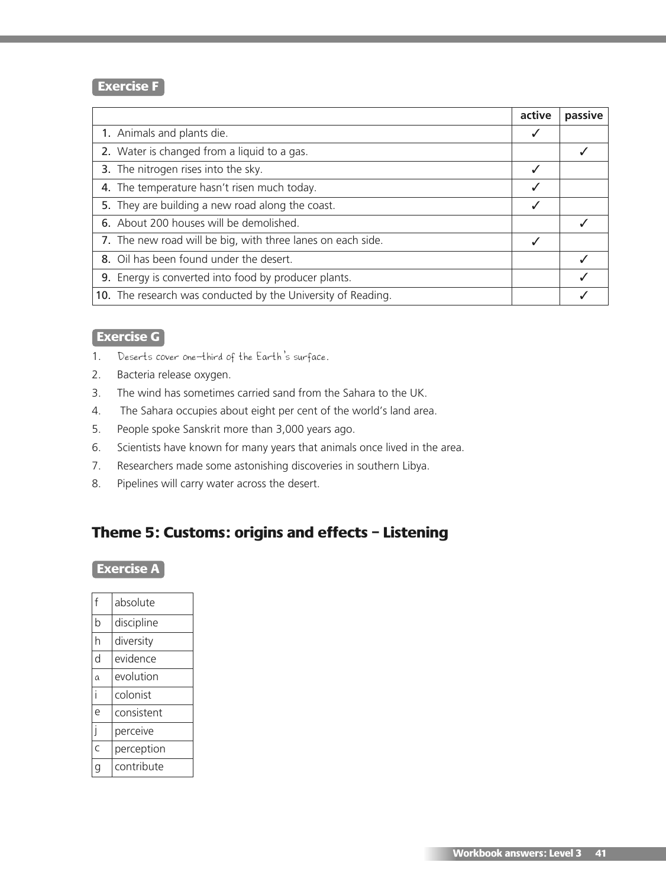#### **Exercise F**

|                                                              | active       | passive |
|--------------------------------------------------------------|--------------|---------|
| 1. Animals and plants die.                                   |              |         |
| 2. Water is changed from a liquid to a gas.                  |              |         |
| 3. The nitrogen rises into the sky.                          | $\checkmark$ |         |
| 4. The temperature hasn't risen much today.                  |              |         |
| 5. They are building a new road along the coast.             | √            |         |
| 6. About 200 houses will be demolished.                      |              |         |
| 7. The new road will be big, with three lanes on each side.  | ✓            |         |
| 8. Oil has been found under the desert.                      |              |         |
| 9. Energy is converted into food by producer plants.         |              |         |
| 10. The research was conducted by the University of Reading. |              |         |

# **Exercise G**

- 1. Deserts cover one-third of the Earth's surface.
- 2. Bacteria release oxygen.
- 3. The wind has sometimes carried sand from the Sahara to the UK.
- 4. The Sahara occupies about eight per cent of the world's land area.
- 5. People spoke Sanskrit more than 3,000 years ago.
- 6. Scientists have known for many years that animals once lived in the area.
- 7. Researchers made some astonishing discoveries in southern Libya.
- 8. Pipelines will carry water across the desert.

# **Theme 5: Customs: origins and effects – Listening**

# **Exercise A**

| f | absolute   |
|---|------------|
| b | discipline |
| h | diversity  |
| d | evidence   |
| a | evolution  |
|   | colonist   |
| è | consistent |
| i | perceive   |
| Ċ | perception |
|   | contribute |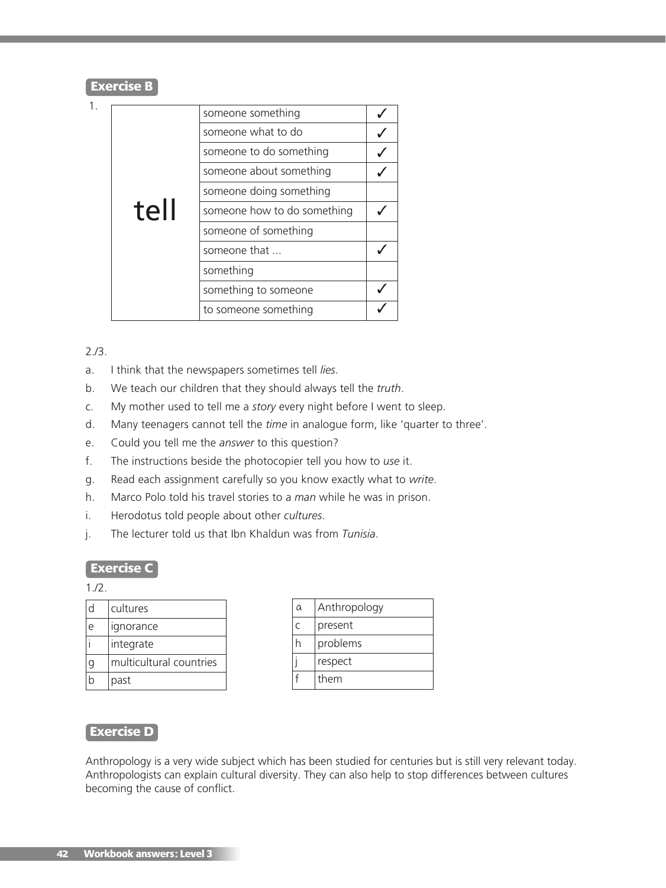#### **Exercise B**

| 1.   | someone something           |                         |  |
|------|-----------------------------|-------------------------|--|
|      |                             | someone what to do      |  |
|      |                             | someone to do something |  |
|      |                             | someone about something |  |
| tell | someone doing something     |                         |  |
|      | someone how to do something |                         |  |
|      | someone of something        |                         |  |
|      | someone that                |                         |  |
|      | something                   |                         |  |
|      | something to someone        |                         |  |
|      |                             | to someone something    |  |

2./3.

- a. I think that the newspapers sometimes tell *lies*.
- b. We teach our children that they should always tell the *truth*.
- c. My mother used to tell me a *story* every night before I went to sleep.
- d. Many teenagers cannot tell the *time* in analogue form, like 'quarter to three'.
- e. Could you tell me the *answer* to this question?
- f. The instructions beside the photocopier tell you how to *use* it.
- g. Read each assignment carefully so you know exactly what to *write*.
- h. Marco Polo told his travel stories to a *man* while he was in prison.
- i. Herodotus told people about other *cultures*.
- j. The lecturer told us that Ibn Khaldun was from *Tunisia*.

#### **Exercise C**

 $1.72.$ 

| cultures                |
|-------------------------|
| ignorance               |
| integrate               |
| multicultural countries |
| past                    |

| а | Anthropology |
|---|--------------|
|   | present      |
|   | problems     |
|   | respect      |
|   | them         |

#### **Exercise D**

Anthropology is a very wide subject which has been studied for centuries but is still very relevant today. Anthropologists can explain cultural diversity. They can also help to stop differences between cultures becoming the cause of conflict.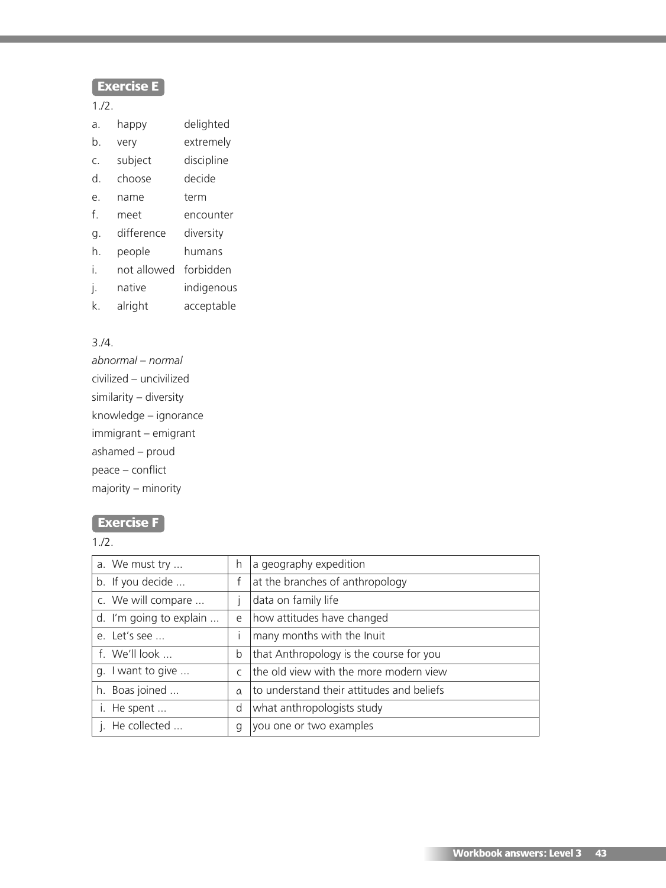# **Exercise E**

1./2.

- a. happy delighted
- b. very extremely
- c. subject discipline
- d. choose decide
- e. name term
- f. meet encounter
- g. difference diversity
- h. people humans
- i. not allowed forbidden
- j. native indigenous
- k. alright acceptable

### 3./4.

*abnormal – normal* civilized – uncivilized similarity – diversity knowledge – ignorance immigrant – emigrant ashamed – proud peace – conflict majority – minority

### **Exercise F**

1./2.

| a. We must try          | h             | a geography expedition                    |
|-------------------------|---------------|-------------------------------------------|
| b. If you decide        |               | at the branches of anthropology           |
| c. We will compare      |               | data on family life                       |
| d. I'm going to explain | e             | how attitudes have changed                |
| e. Let's see            |               | many months with the Inuit                |
| f. We'll look           | b             | that Anthropology is the course for you   |
| g. I want to give       | $\mathcal{C}$ | the old view with the more modern view    |
| h. Boas joined          | $\alpha$      | to understand their attitudes and beliefs |
| i. He spent             | d             | what anthropologists study                |
| j. He collected         | q             | you one or two examples                   |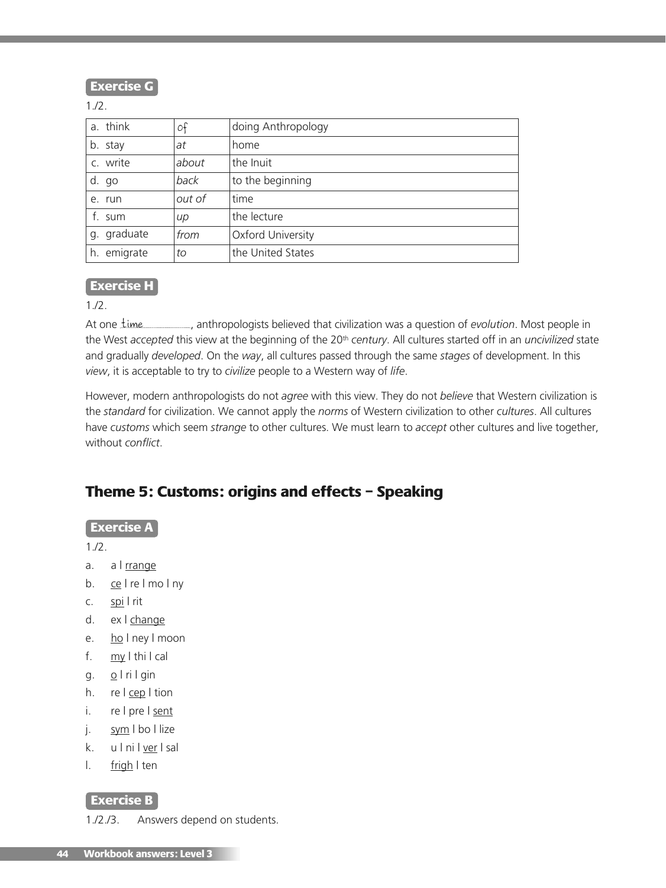**Exercise G**

1./2.

| a. think    | οf     | doing Anthropology |
|-------------|--------|--------------------|
| b. stay     | at     | home               |
| c. write    | about  | the Inuit          |
| d. go       | back   | to the beginning   |
| e. run      | out of | time               |
| f. sum      | $\mu$  | the lecture        |
| g. graduate | from   | Oxford University  |
| h. emigrate | to     | the United States  |

#### **Exercise H**

1./2.

At one *Lime* \_\_\_\_\_\_\_, anthropologists believed that civilization was a question of *evolution*. Most people in the West *accepted* this view at the beginning of the 20th *century*. All cultures started off in an *uncivilized* state and gradually *developed*. On the *way*, all cultures passed through the same *stages* of development. In this *view*, it is acceptable to try to *civilize* people to a Western way of *life*.

However, modern anthropologists do not *agree* with this view. They do not *believe* that Western civilization is the *standard* for civilization. We cannot apply the *norms* of Western civilization to other *cultures*. All cultures have *customs* which seem *strange* to other cultures. We must learn to *accept* other cultures and live together, without *conflict*.

# **Theme 5: Customs: origins and effects – Speaking**

#### **Exercise A**

 $1.12.$ 

- a. a I rrange
- b. ce I re I mo I ny
- c. spi | rit
- d. ex | change
- e. ho I ney I moon
- f. my | thi | cal
- $g. \quad Q \mid ri \mid g$ in
- h. re | cep | tion
- i. re | pre | sent
- j. sym I bo I lize
- k. u I ni I ver I sal
- l. <u>frigh</u> I ten

#### **Exercise B**

1./2./3. Answers depend on students.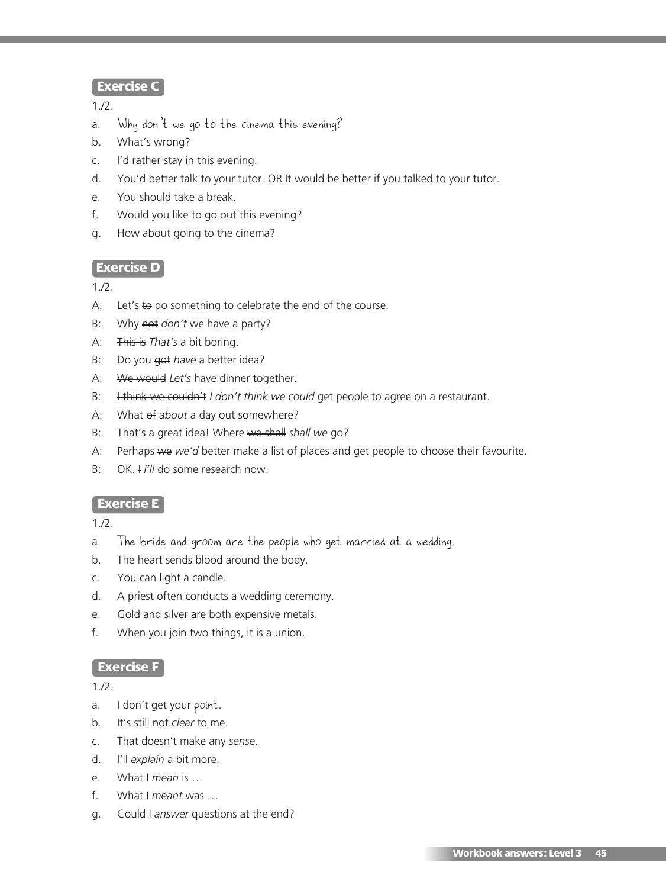### **Exercise C**

1./2.

- a. Why don't we go to the cinema this evening?
- b. What's wrong?
- c. I'd rather stay in this evening.
- d. You'd better talk to your tutor. OR It would be better if you talked to your tutor.
- e. You should take a break.
- f. Would you like to go out this evening?
- g. How about going to the cinema?

### **Exercise D**

1./2.

- A: Let's  $\leftrightarrow$  do something to celebrate the end of the course.
- B: Why not *don't* we have a party?
- A: This is *That's* a bit boring.
- B: Do you est *have* a better idea?
- A: We would *Let's* have dinner together.
- B: Hthink we couldn't *I don't think we could get people to agree on a restaurant.*
- A: What  $ef$  *about* a day out somewhere?
- B: That's a great idea! Where we shall *shall we* go?
- A: Perhaps we *we'd* better make a list of places and get people to choose their favourite.
- B: OK. I *I'll* do some research now.

#### **Exercise E**

1./2.

- a. The bride and groom are the people who get married at a wedding.
- b. The heart sends blood around the body.
- c. You can light a candle.
- d. A priest often conducts a wedding ceremony.
- e. Gold and silver are both expensive metals.
- f. When you join two things, it is a union.

#### **Exercise F**

1./2.

- a. I don't get your point.
- b. It's still not *clear* to me.
- c. That doesn't make any *sense*.
- d. I'll *explain* a bit more.
- e. What I *mean* is …
- f. What I *meant* was …
- g. Could I *answer* questions at the end?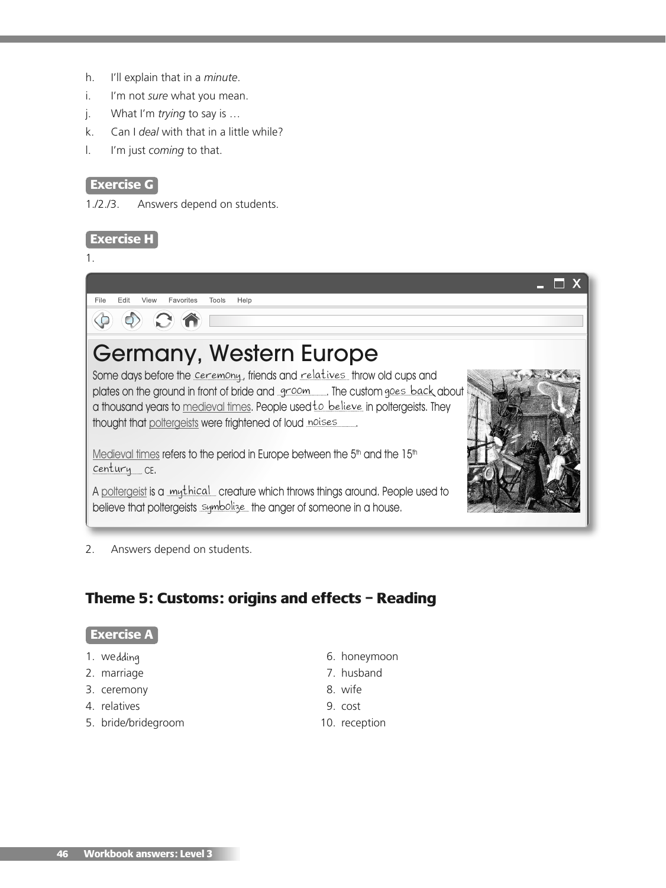- h. I'll explain that in a *minute*.
- i. I'm not *sure* what you mean.
- j. What I'm *trying* to say is …
- k. Can I *deal* with that in a little while?
- l. I'm just *coming* to that.

#### **Exercise G**

1./2./3. Answers depend on students.

#### **Exercise H**

1.



# Germany, Western Europe

Some days before the <u>ceremony</u> , friends and <u>relatives t</u>hrow old cups and plates on the ground in front of bride and <u>groom soute the custom goes back</u> about a thousand years to <u>medieval times</u>. People used <u>to believe</u> in poltergeists. They thought that poltergeists were frightened of loud noises

Medieval times refers to the period in Europe between the 5<sup>th</sup> and the 15<sup>th</sup> century CE.

A <u>poltergeist</u> is a <u>mythical cr</u>eature which throws things around. People used to believe that poltergeists symbolize the anger of someone in a house.



 $\blacksquare$   $\blacksquare$   $\times$ 

2. Answers depend on students.

# **Theme 5: Customs: origins and effects – Reading**

#### **Exercise A**

- 1. wedding
- 2. marriage 7. husband
- 3. ceremony 8. wife
- 4. relatives 9. cost
- 5. bride/bridegroom 10. reception
- 6. honeymoon
- 
- 
- -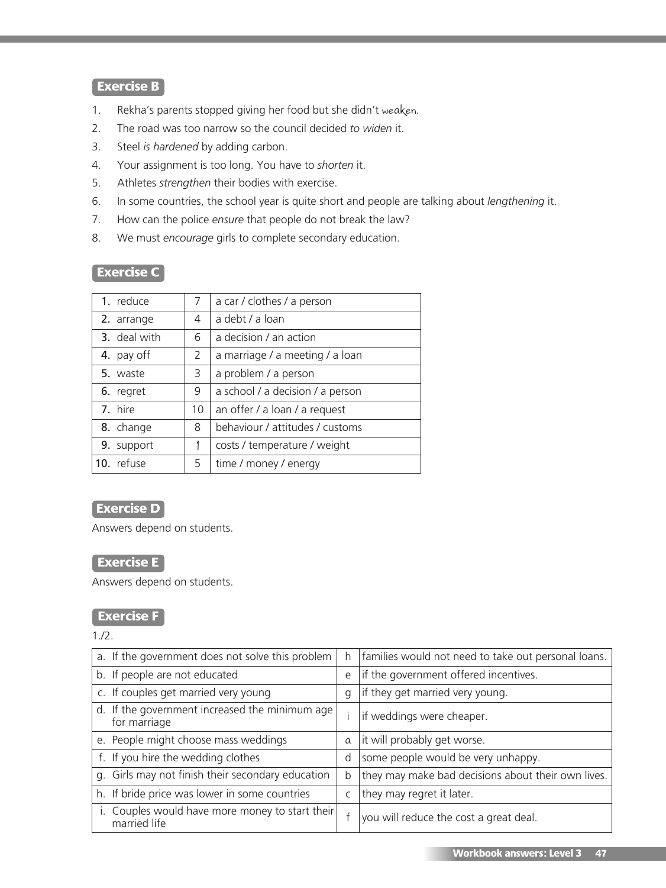# **Exercise B**

- 1. Rekha's parents stopped giving her food but she didn't weaken.
- 2. The road was too narrow so the council decided *to widen* it.
- 3. Steel *is hardened* by adding carbon.
- 4. Your assignment is too long. You have to *shorten* it.
- 5. Athletes *strengthen* their bodies with exercise.
- 6. In some countries, the school year is quite short and people are talking about *lengthening* it.
- 7. How can the police *ensure* that people do not break the law?
- 8. We must *encourage* girls to complete secondary education.

# **Exercise C**

| 1. reduce    | 7  | a car / clothes / a person       |
|--------------|----|----------------------------------|
| 2. arrange   | 4  | a debt / a loan                  |
| 3. deal with | 6  | a decision / an action           |
| 4. pay off   | 2  | a marriage / a meeting / a loan  |
| 5. waste     | 3  | a problem / a person             |
| 6. regret    | 9  | a school / a decision / a person |
| 7. hire      | 10 | an offer / a loan / a request    |
| 8. change    | 8  | behaviour / attitudes / customs  |
| 9. support   |    | costs / temperature / weight     |
| 10. refuse   | 5  | time / money / energy            |

## **Exercise D**

Answers depend on students.

# **Exercise E**

Answers depend on students.

#### **Exercise F**

1./2.

| a. If the government does not solve this problem                 | h        | families would not need to take out personal loans. |  |
|------------------------------------------------------------------|----------|-----------------------------------------------------|--|
| b. If people are not educated                                    | e        | if the government offered incentives.               |  |
| c. If couples get married very young                             | q        | if they get married very young.                     |  |
| d. If the government increased the minimum age  <br>for marriage |          | if weddings were cheaper.                           |  |
| e. People might choose mass weddings                             | $\alpha$ | it will probably get worse.                         |  |
| f. If you hire the wedding clothes                               | d        | some people would be very unhappy.                  |  |
| g. Girls may not finish their secondary education                | b        | they may make bad decisions about their own lives.  |  |
| h. If bride price was lower in some countries                    |          | they may regret it later.                           |  |
| i. Couples would have more money to start their<br>married life  |          | you will reduce the cost a great deal.              |  |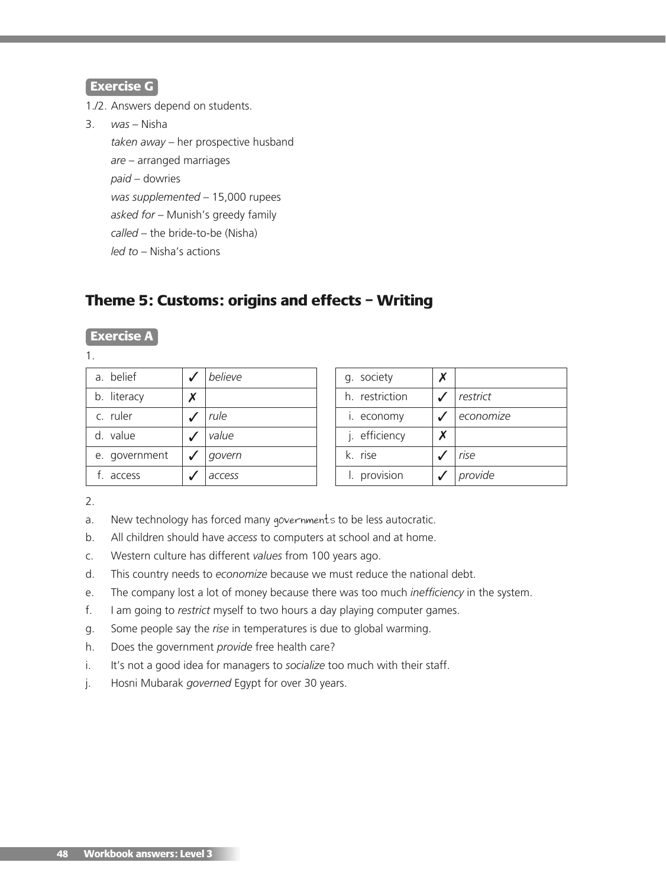#### **Exercise G**

1./2. Answers depend on students.

3. *was* – Nisha *taken away* – her prospective husband *are* – arranged marriages *paid* – dowries *was supplemented* – 15,000 rupees *asked for* – Munish's greedy family *called* – the bride-to-be (Nisha) *led to* – Nisha's actions

# **Theme 5: Customs: origins and effects – Writing**

## **Exercise A**

1.

| a. belief     |        | believe |
|---------------|--------|---------|
| b. literacy   | Х      |         |
| c. ruler      |        | rule    |
| d. value      |        | value   |
| e. government | govern |         |
| f. access     |        | access  |

| Х |           |  |
|---|-----------|--|
|   | restrict  |  |
|   | economize |  |
| X |           |  |
|   | rise      |  |
|   | provide   |  |
|   |           |  |

2.

- a. New technology has forced many governments to be less autocratic.
- b. All children should have *access* to computers at school and at home.
- c. Western culture has different *values* from 100 years ago.
- d. This country needs to *economize* because we must reduce the national debt.
- e. The company lost a lot of money because there was too much *inefficiency* in the system.
- f. I am going to *restrict* myself to two hours a day playing computer games.
- g. Some people say the *rise* in temperatures is due to global warming.
- h. Does the government *provide* free health care?
- i. It's not a good idea for managers to *socialize* too much with their staff.
- j. Hosni Mubarak *governed* Egypt for over 30 years.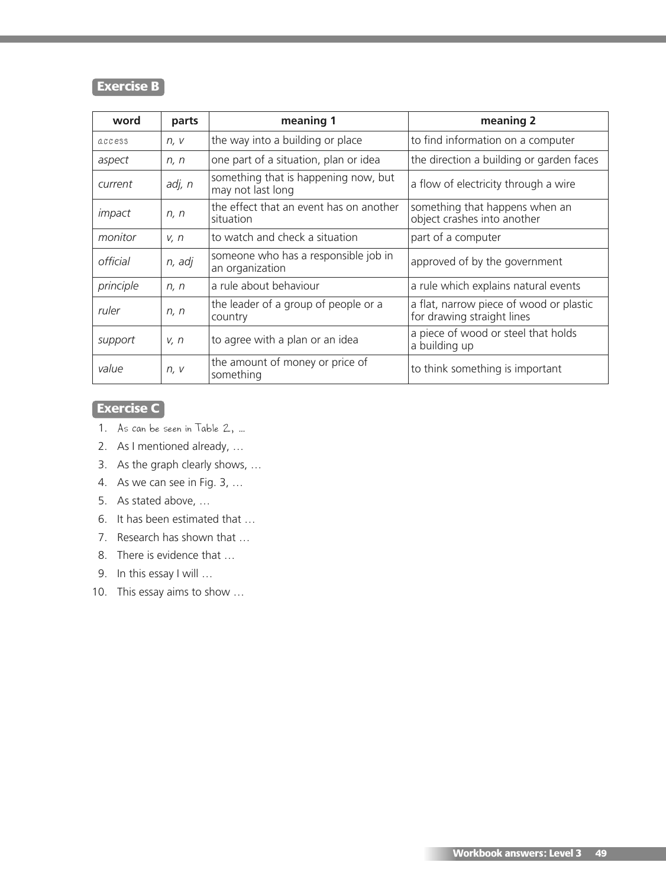# **Exercise B**

| word      | parts  | meaning 1                                                 | meaning 2                                                             |
|-----------|--------|-----------------------------------------------------------|-----------------------------------------------------------------------|
| access    | n, v   | the way into a building or place                          | to find information on a computer                                     |
| aspect    | n, n   | one part of a situation, plan or idea                     | the direction a building or garden faces                              |
| current   | adj, n | something that is happening now, but<br>may not last long | a flow of electricity through a wire                                  |
| impact    | n, n   | the effect that an event has on another<br>situation      | something that happens when an<br>object crashes into another         |
| monitor   | V, n   | to watch and check a situation                            | part of a computer                                                    |
| official  | n, adj | someone who has a responsible job in<br>an organization   | approved of by the government                                         |
| principle | n, n   | a rule about behaviour                                    | a rule which explains natural events                                  |
| ruler     | n, n   | the leader of a group of people or a<br>country           | a flat, narrow piece of wood or plastic<br>for drawing straight lines |
| support   | V, n   | to agree with a plan or an idea                           | a piece of wood or steel that holds<br>a building up                  |
| value     | n, v   | the amount of money or price of<br>something              | to think something is important                                       |

# **Exercise C**

- 1. As can be seen in Table 2, …
- 2. As I mentioned already, …
- 3. As the graph clearly shows, …
- 4. As we can see in Fig. 3, …
- 5. As stated above, …
- 6. It has been estimated that …
- 7. Research has shown that …
- 8. There is evidence that …
- 9. In this essay I will ...
- 10. This essay aims to show …